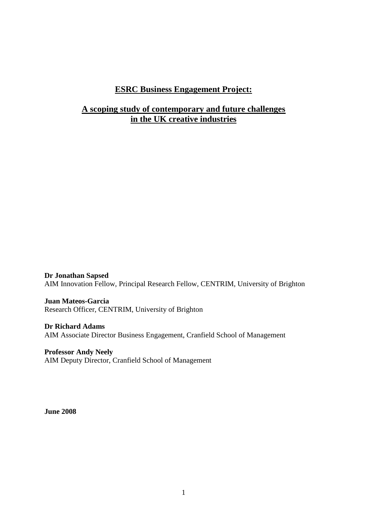## **ESRC Business Engagement Project:**

## **A scoping study of contemporary and future challenges in the UK creative industries**

**Dr Jonathan Sapsed** AIM Innovation Fellow, Principal Research Fellow, CENTRIM, University of Brighton

**Juan Mateos-Garcia** Research Officer, CENTRIM, University of Brighton

**Dr Richard Adams** AIM Associate Director Business Engagement, Cranfield School of Management

**Professor Andy Neely** AIM Deputy Director, Cranfield School of Management

**June 2008**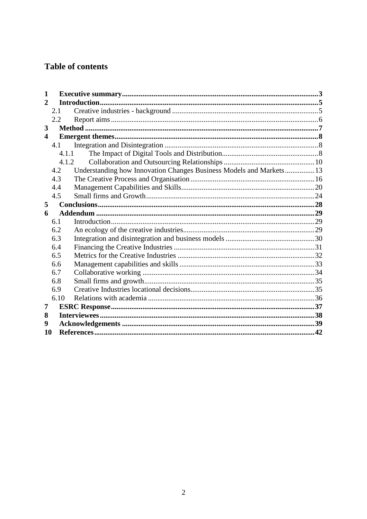# Table of contents

| 1                       |       |                                                                     |  |  |
|-------------------------|-------|---------------------------------------------------------------------|--|--|
| $\mathbf{2}$            |       |                                                                     |  |  |
|                         | 2.1   |                                                                     |  |  |
|                         | 2.2   |                                                                     |  |  |
| 3                       |       |                                                                     |  |  |
| $\overline{\mathbf{4}}$ |       |                                                                     |  |  |
|                         | 4.1   |                                                                     |  |  |
|                         | 4.1.1 |                                                                     |  |  |
|                         |       | 4.1.2                                                               |  |  |
|                         | 4.2   | Understanding how Innovation Changes Business Models and Markets 13 |  |  |
|                         | 4.3   |                                                                     |  |  |
|                         | 4.4   |                                                                     |  |  |
|                         | 4.5   |                                                                     |  |  |
| 5                       |       |                                                                     |  |  |
| 6                       |       |                                                                     |  |  |
|                         | 6.1   |                                                                     |  |  |
|                         | 6.2   |                                                                     |  |  |
|                         | 6.3   |                                                                     |  |  |
|                         | 6.4   |                                                                     |  |  |
|                         | 6.5   |                                                                     |  |  |
|                         | 6.6   |                                                                     |  |  |
|                         | 6.7   |                                                                     |  |  |
|                         | 6.8   |                                                                     |  |  |
|                         | 6.9   |                                                                     |  |  |
|                         | 6.10  |                                                                     |  |  |
| 7                       |       |                                                                     |  |  |
| 8                       |       |                                                                     |  |  |
| 9                       |       |                                                                     |  |  |
| 10                      |       |                                                                     |  |  |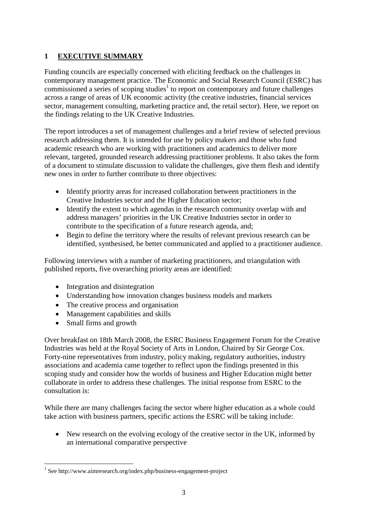## <span id="page-2-0"></span>**1 EXECUTIVE SUMMARY**

Funding councils are especially concerned with eliciting feedback on the challenges in contemporary management practice. The Economic and Social Research Council (ESRC) has commissioned a series of scoping studies<sup>[1](#page-2-1)</sup> to report on contemporary and future challenges across a range of areas of UK economic activity (the creative industries, financial services sector, management consulting, marketing practice and, the retail sector). Here, we report on the findings relating to the UK Creative Industries.

The report introduces a set of management challenges and a brief review of selected previous research addressing them. It is intended for use by policy makers and those who fund academic research who are working with practitioners and academics to deliver more relevant, targeted, grounded research addressing practitioner problems. It also takes the form of a document to stimulate discussion to validate the challenges, give them flesh and identify new ones in order to further contribute to three objectives:

- Identify priority areas for increased collaboration between practitioners in the Creative Industries sector and the Higher Education sector;
- Identify the extent to which agendas in the research community overlap with and address managers' priorities in the UK Creative Industries sector in order to contribute to the specification of a future research agenda, and;
- Begin to define the territory where the results of relevant previous research can be identified, synthesised, be better communicated and applied to a practitioner audience.

Following interviews with a number of marketing practitioners, and triangulation with published reports, five overarching priority areas are identified:

- Integration and disintegration
- Understanding how innovation changes business models and markets
- The creative process and organisation
- Management capabilities and skills
- Small firms and growth

Over breakfast on 18th March 2008, the ESRC Business Engagement Forum for the Creative Industries was held at the Royal Society of Arts in London, Chaired by Sir George Cox. Forty-nine representatives from industry, policy making, regulatory authorities, industry associations and academia came together to reflect upon the findings presented in this scoping study and consider how the worlds of business and Higher Education might better collaborate in order to address these challenges. The initial response from ESRC to the consultation is:

While there are many challenges facing the sector where higher education as a whole could take action with business partners, specific actions the ESRC will be taking include:

 New research on the evolving ecology of the creative sector in the UK, informed by an international comparative perspective

<span id="page-2-1"></span><sup>1</sup> See http://www.aimresearch.org/index.php/business-engagement-project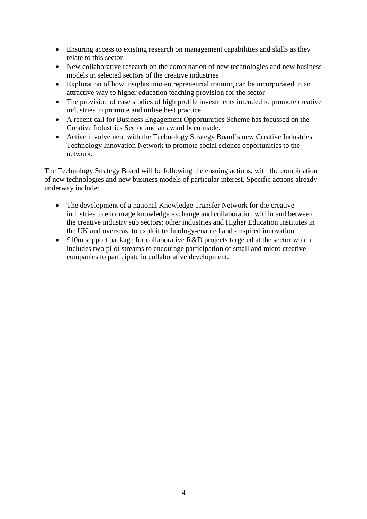- Ensuring access to existing research on management capabilities and skills as they relate to this sector
- New collaborative research on the combination of new technologies and new business models in selected sectors of the creative industries
- Exploration of how insights into entrepreneurial training can be incorporated in an attractive way to higher education teaching provision for the sector
- The provision of case studies of high profile investments intended to promote creative industries to promote and utilise best practice
- A recent call for Business Engagement Opportunities Scheme has focussed on the Creative Industries Sector and an award been made.
- Active involvement with the Technology Strategy Board's new Creative Industries Technology Innovation Network to promote social science opportunities to the network.

The Technology Strategy Board will be following the ensuing actions, with the combination of new technologies and new business models of particular interest. Specific actions already underway include:

- The development of a national Knowledge Transfer Network for the creative industries to encourage knowledge exchange and collaboration within and between the creative industry sub sectors; other industries and Higher Education Institutes in the UK and overseas, to exploit technology-enabled and -inspired innovation.
- £10m support package for collaborative R&D projects targeted at the sector which includes two pilot streams to encourage participation of small and micro creative companies to participate in collaborative development.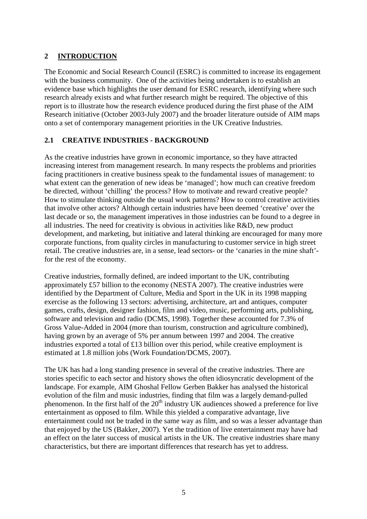## <span id="page-4-0"></span>**2 INTRODUCTION**

The Economic and Social Research Council (ESRC) is committed to increase its engagement with the business community. One of the activities being undertaken is to establish an evidence base which highlights the user demand for ESRC research, identifying where such research already exists and what further research might be required. The objective of this report is to illustrate how the research evidence produced during the first phase of the AIM Research initiative (October 2003-July 2007) and the broader literature outside of AIM maps onto a set of contemporary management priorities in the UK Creative Industries.

#### <span id="page-4-1"></span>**2.1 CREATIVE INDUSTRIES - BACKGROUND**

As the creative industries have grown in economic importance, so they have attracted increasing interest from management research. In many respects the problems and priorities facing practitioners in creative business speak to the fundamental issues of management: to what extent can the generation of new ideas be 'managed'; how much can creative freedom be directed, without 'chilling' the process? How to motivate and reward creative people? How to stimulate thinking outside the usual work patterns? How to control creative activities that involve other actors? Although certain industries have been deemed 'creative' over the last decade or so, the management imperatives in those industries can be found to a degree in all industries. The need for creativity is obvious in activities like R&D, new product development, and marketing, but initiative and lateral thinking are encouraged for many more corporate functions, from quality circles in manufacturing to customer service in high street retail. The creative industries are, in a sense, lead sectors- or the 'canaries in the mine shaft' for the rest of the economy.

Creative industries, formally defined, are indeed important to the UK, contributing approximately £57 billion to the economy (NESTA 2007). The creative industries were identified by the Department of Culture, Media and Sport in the UK in its 1998 mapping exercise as the following 13 sectors: advertising, architecture, art and antiques, computer games, crafts, design, designer fashion, film and video, music, performing arts, publishing, software and television and radio (DCMS, 1998). Together these accounted for 7.3% of Gross Value-Added in 2004 (more than tourism, construction and agriculture combined), having grown by an average of 5% per annum between 1997 and 2004. The creative industries exported a total of £13 billion over this period, while creative employment is estimated at 1.8 million jobs (Work Foundation/DCMS, 2007).

The UK has had a long standing presence in several of the creative industries. There are stories specific to each sector and history shows the often idiosyncratic development of the landscape. For example, AIM Ghoshal Fellow Gerben Bakker has analysed the historical evolution of the film and music industries, finding that film was a largely demand-pulled phenomenon. In the first half of the  $20<sup>th</sup>$  industry UK audiences showed a preference for live entertainment as opposed to film. While this yielded a comparative advantage, live entertainment could not be traded in the same way as film, and so was a lesser advantage than that enjoyed by the US (Bakker, 2007). Yet the tradition of live entertainment may have had an effect on the later success of musical artists in the UK. The creative industries share many characteristics, but there are important differences that research has yet to address.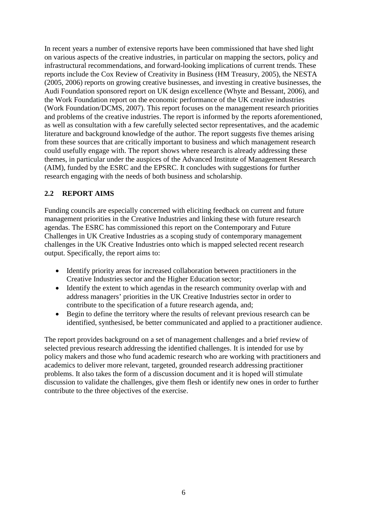In recent years a number of extensive reports have been commissioned that have shed light on various aspects of the creative industries, in particular on mapping the sectors, policy and infrastructural recommendations, and forward-looking implications of current trends. These reports include the Cox Review of Creativity in Business (HM Treasury, 2005), the NESTA (2005, 2006) reports on growing creative businesses, and investing in creative businesses, the Audi Foundation sponsored report on UK design excellence (Whyte and Bessant, 2006), and the Work Foundation report on the economic performance of the UK creative industries (Work Foundation/DCMS, 2007). This report focuses on the management research priorities and problems of the creative industries. The report is informed by the reports aforementioned, as well as consultation with a few carefully selected sector representatives, and the academic literature and background knowledge of the author. The report suggests five themes arising from these sources that are critically important to business and which management research could usefully engage with. The report shows where research is already addressing these themes, in particular under the auspices of the Advanced Institute of Management Research (AIM), funded by the ESRC and the EPSRC. It concludes with suggestions for further research engaging with the needs of both business and scholarship.

#### <span id="page-5-0"></span>**2.2 REPORT AIMS**

Funding councils are especially concerned with eliciting feedback on current and future management priorities in the Creative Industries and linking these with future research agendas. The ESRC has commissioned this report on the Contemporary and Future Challenges in UK Creative Industries as a scoping study of contemporary management challenges in the UK Creative Industries onto which is mapped selected recent research output. Specifically, the report aims to:

- Identify priority areas for increased collaboration between practitioners in the Creative Industries sector and the Higher Education sector;
- Identify the extent to which agendas in the research community overlap with and address managers' priorities in the UK Creative Industries sector in order to contribute to the specification of a future research agenda, and;
- Begin to define the territory where the results of relevant previous research can be identified, synthesised, be better communicated and applied to a practitioner audience.

The report provides background on a set of management challenges and a brief review of selected previous research addressing the identified challenges. It is intended for use by policy makers and those who fund academic research who are working with practitioners and academics to deliver more relevant, targeted, grounded research addressing practitioner problems. It also takes the form of a discussion document and it is hoped will stimulate discussion to validate the challenges, give them flesh or identify new ones in order to further contribute to the three objectives of the exercise.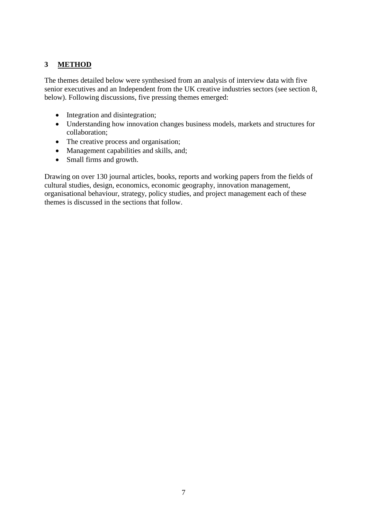## <span id="page-6-0"></span>**3 METHOD**

The themes detailed below were synthesised from an analysis of interview data with five senior executives and an Independent from the UK creative industries sectors (see section 8, below). Following discussions, five pressing themes emerged:

- Integration and disintegration;
- Understanding how innovation changes business models, markets and structures for collaboration;
- The creative process and organisation;
- Management capabilities and skills, and;
- Small firms and growth.

Drawing on over 130 journal articles, books, reports and working papers from the fields of cultural studies, design, economics, economic geography, innovation management, organisational behaviour, strategy, policy studies, and project management each of these themes is discussed in the sections that follow.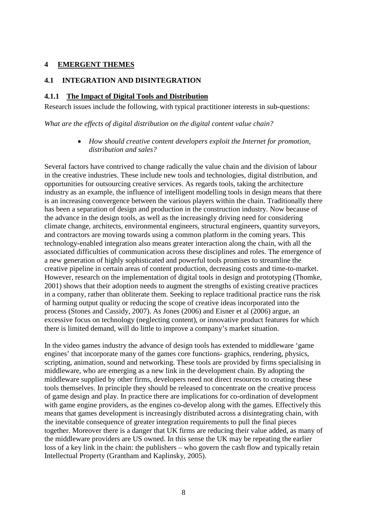#### <span id="page-7-0"></span>**4 EMERGENT THEMES**

#### <span id="page-7-1"></span>**4.1 INTEGRATION AND DISINTEGRATION**

#### <span id="page-7-2"></span>**4.1.1 The Impact of Digital Tools and Distribution**

Research issues include the following, with typical practitioner interests in sub-questions:

*What are the effects of digital distribution on the digital content value chain?*

 *How should creative content developers exploit the Internet for promotion, distribution and sales?*

Several factors have contrived to change radically the value chain and the division of labour in the creative industries. These include new tools and technologies, digital distribution, and opportunities for outsourcing creative services. As regards tools, taking the architecture industry as an example, the influence of intelligent modelling tools in design means that there is an increasing convergence between the various players within the chain. Traditionally there has been a separation of design and production in the construction industry. Now because of the advance in the design tools, as well as the increasingly driving need for considering climate change, architects, environmental engineers, structural engineers, quantity surveyors, and contractors are moving towards using a common platform in the coming years. This technology-enabled integration also means greater interaction along the chain, with all the associated difficulties of communication across these disciplines and roles. The emergence of a new generation of highly sophisticated and powerful tools promises to streamline the creative pipeline in certain areas of content production, decreasing costs and time-to-market. However, research on the implementation of digital tools in design and prototyping (Thomke, 2001) shows that their adoption needs to augment the strengths of existing creative practices in a company, rather than obliterate them. Seeking to replace traditional practice runs the risk of harming output quality or reducing the scope of creative ideas incorporated into the process (Stones and Cassidy, 2007). As Jones (2006) and Eisner et al (2006) argue, an excessive focus on technology (neglecting content), or innovative product features for which there is limited demand, will do little to improve a company's market situation.

In the video games industry the advance of design tools has extended to middleware 'game engines' that incorporate many of the games core functions- graphics, rendering, physics, scripting, animation, sound and networking. These tools are provided by firms specialising in middleware, who are emerging as a new link in the development chain. By adopting the middleware supplied by other firms, developers need not direct resources to creating these tools themselves. In principle they should be released to concentrate on the creative process of game design and play. In practice there are implications for co-ordination of development with game engine providers, as the engines co-develop along with the games. Effectively this means that games development is increasingly distributed across a disintegrating chain, with the inevitable consequence of greater integration requirements to pull the final pieces together. Moreover there is a danger that UK firms are reducing their value added, as many of the middleware providers are US owned. In this sense the UK may be repeating the earlier loss of a key link in the chain: the publishers – who govern the cash flow and typically retain Intellectual Property (Grantham and Kaplinsky, 2005).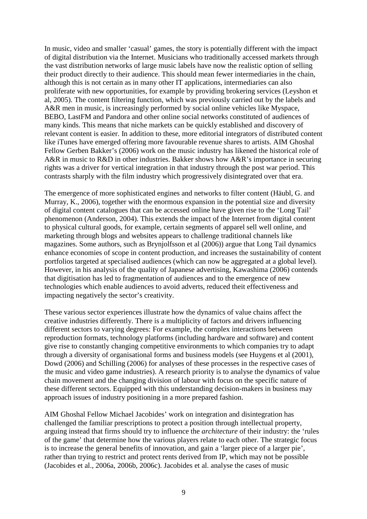In music, video and smaller 'casual' games, the story is potentially different with the impact of digital distribution via the Internet. Musicians who traditionally accessed markets through the vast distribution networks of large music labels have now the realistic option of selling their product directly to their audience. This should mean fewer intermediaries in the chain, although this is not certain as in many other IT applications, intermediaries can also proliferate with new opportunities, for example by providing brokering services (Leyshon et al, 2005). The content filtering function, which was previously carried out by the labels and A&R men in music, is increasingly performed by social online vehicles like Myspace, BEBO, LastFM and Pandora and other online social networks constituted of audiences of many kinds. This means that niche markets can be quickly established and discovery of relevant content is easier. In addition to these, more editorial integrators of distributed content like iTunes have emerged offering more favourable revenue shares to artists. AIM Ghoshal Fellow Gerben Bakker's (2006) work on the music industry has likened the historical role of A&R in music to R&D in other industries. Bakker shows how A&R's importance in securing rights was a driver for vertical integration in that industry through the post war period. This contrasts sharply with the film industry which progressively disintegrated over that era.

The emergence of more sophisticated engines and networks to filter content (Häubl, G. and Murray, K., 2006), together with the enormous expansion in the potential size and diversity of digital content catalogues that can be accessed online have given rise to the 'Long Tail' phenomenon (Anderson, 2004). This extends the impact of the Internet from digital content to physical cultural goods, for example, certain segments of apparel sell well online, and marketing through blogs and websites appears to challenge traditional channels like magazines. Some authors, such as Brynjolfsson et al (2006)) argue that Long Tail dynamics enhance economies of scope in content production, and increases the sustainability of content portfolios targeted at specialised audiences (which can now be aggregated at a global level). However, in his analysis of the quality of Japanese advertising, Kawashima (2006) contends that digitisation has led to fragmentation of audiences and to the emergence of new technologies which enable audiences to avoid adverts, reduced theit effectiveness and impacting negatively the sector's creativity.

These various sector experiences illustrate how the dynamics of value chains affect the creative industries differently. There is a multiplicity of factors and drivers influencing different sectors to varying degrees: For example, the complex interactions between reproduction formats, technology platforms (including hardware and software) and content give rise to constantly changing competitive environments to which companies try to adapt through a diversity of organisational forms and business models (see Huygens et al (2001), Dowd (2006) and Schilling (2006) for analyses of these processes in the respective cases of the music and video game industries). A research priority is to analyse the dynamics of value chain movement and the changing division of labour with focus on the specific nature of these different sectors. Equipped with this understanding decision-makers in business may approach issues of industry positioning in a more prepared fashion.

AIM Ghoshal Fellow Michael Jacobides' work on integration and disintegration has challenged the familiar prescriptions to protect a position through intellectual property, arguing instead that firms should try to influence the *architecture* of their industry: the 'rules of the game' that determine how the various players relate to each other. The strategic focus is to increase the general benefits of innovation, and gain a 'larger piece of a larger pie', rather than trying to restrict and protect rents derived from IP, which may not be possible (Jacobides et al., 2006a, 2006b, 2006c). Jacobides et al. analyse the cases of music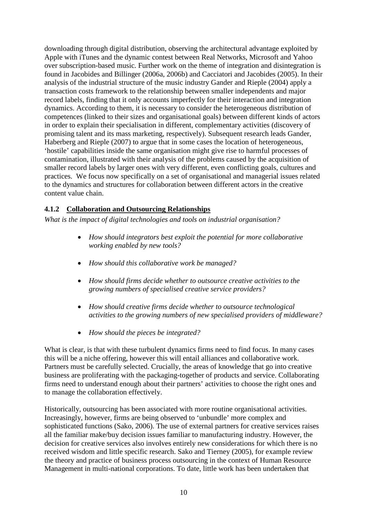downloading through digital distribution, observing the architectural advantage exploited by Apple with iTunes and the dynamic contest between Real Networks, Microsoft and Yahoo over subscription-based music. Further work on the theme of integration and disintegration is found in Jacobides and Billinger (2006a, 2006b) and Cacciatori and Jacobides (2005). In their analysis of the industrial structure of the music industry Gander and Rieple (2004) apply a transaction costs framework to the relationship between smaller independents and major record labels, finding that it only accounts imperfectly for their interaction and integration dynamics. According to them, it is necessary to consider the heterogeneous distribution of competences (linked to their sizes and organisational goals) between different kinds of actors in order to explain their specialisation in different, complementary activities (discovery of promising talent and its mass marketing, respectively). Subsequent research leads Gander, Haberberg and Rieple (2007) to argue that in some cases the location of heterogeneous, 'hostile' capabilities inside the same organisation might give rise to harmful processes of contamination, illustrated with their analysis of the problems caused by the acquisition of smaller record labels by larger ones with very different, even conflicting goals, cultures and practices. We focus now specifically on a set of organisational and managerial issues related to the dynamics and structures for collaboration between different actors in the creative content value chain.

#### <span id="page-9-0"></span>**4.1.2 Collaboration and Outsourcing Relationships**

*What is the impact of digital technologies and tools on industrial organisation?*

- *How should integrators best exploit the potential for more collaborative working enabled by new tools?*
- *How should this collaborative work be managed?*
- *How should firms decide whether to outsource creative activities to the growing numbers of specialised creative service providers?*
- *How should creative firms decide whether to outsource technological activities to the growing numbers of new specialised providers of middleware?*
- *How should the pieces be integrated?*

What is clear, is that with these turbulent dynamics firms need to find focus. In many cases this will be a niche offering, however this will entail alliances and collaborative work. Partners must be carefully selected. Crucially, the areas of knowledge that go into creative business are proliferating with the packaging-together of products and service. Collaborating firms need to understand enough about their partners' activities to choose the right ones and to manage the collaboration effectively.

Historically, outsourcing has been associated with more routine organisational activities. Increasingly, however, firms are being observed to 'unbundle' more complex and sophisticated functions (Sako, 2006). The use of external partners for creative services raises all the familiar make/buy decision issues familiar to manufacturing industry. However, the decision for creative services also involves entirely new considerations for which there is no received wisdom and little specific research. Sako and Tierney (2005), for example review the theory and practice of business process outsourcing in the context of Human Resource Management in multi-national corporations. To date, little work has been undertaken that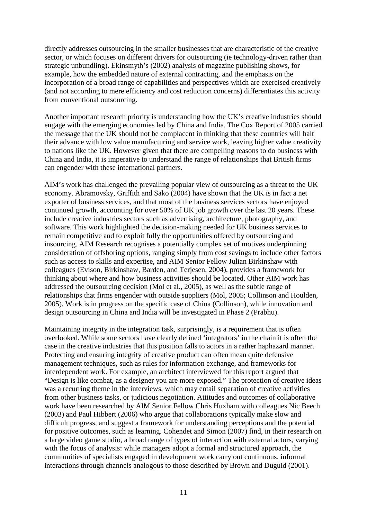directly addresses outsourcing in the smaller businesses that are characteristic of the creative sector, or which focuses on different drivers for outsourcing (ie technology-driven rather than strategic unbundling). Ekinsmyth's (2002) analysis of magazine publishing shows, for example, how the embedded nature of external contracting, and the emphasis on the incorporation of a broad range of capabilities and perspectives which are exercised creatively (and not according to mere efficiency and cost reduction concerns) differentiates this activity from conventional outsourcing.

Another important research priority is understanding how the UK's creative industries should engage with the emerging economies led by China and India. The Cox Report of 2005 carried the message that the UK should not be complacent in thinking that these countries will halt their advance with low value manufacturing and service work, leaving higher value creativity to nations like the UK. However given that there are compelling reasons to do business with China and India, it is imperative to understand the range of relationships that British firms can engender with these international partners.

AIM's work has challenged the prevailing popular view of outsourcing as a threat to the UK economy. Abramovsky, Griffith and Sako (2004) have shown that the UK is in fact a net exporter of business services, and that most of the business services sectors have enjoyed continued growth, accounting for over 50% of UK job growth over the last 20 years. These include creative industries sectors such as advertising, architecture, photography, and software. This work highlighted the decision-making needed for UK business services to remain competitive and to exploit fully the opportunities offered by outsourcing and insourcing. AIM Research recognises a potentially complex set of motives underpinning consideration of offshoring options, ranging simply from cost savings to include other factors such as access to skills and expertise, and AIM Senior Fellow Julian Birkinshaw with colleagues (Evison, Birkinshaw, Barden, and Terjesen, 2004), provides a framework for thinking about where and how business activities should be located. Other AIM work has addressed the outsourcing decision (Mol et al., 2005), as well as the subtle range of relationships that firms engender with outside suppliers (Mol, 2005; Collinson and Houlden, 2005). Work is in progress on the specific case of China (Collinson), while innovation and design outsourcing in China and India will be investigated in Phase 2 (Prabhu).

Maintaining integrity in the integration task, surprisingly, is a requirement that is often overlooked. While some sectors have clearly defined 'integrators' in the chain it is often the case in the creative industries that this position falls to actors in a rather haphazard manner. Protecting and ensuring integrity of creative product can often mean quite defensive management techniques, such as rules for information exchange, and frameworks for interdependent work. For example, an architect interviewed for this report argued that "Design is like combat, as a designer you are more exposed." The protection of creative ideas was a recurring theme in the interviews, which may entail separation of creative activities from other business tasks, or judicious negotiation. Attitudes and outcomes of collaborative work have been researched by AIM Senior Fellow Chris Huxham with colleagues Nic Beech (2003) and Paul Hibbert (2006) who argue that collaborations typically make slow and difficult progress, and suggest a framework for understanding perceptions and the potential for positive outcomes, such as learning. Cohendet and Simon (2007) find, in their research on a large video game studio, a broad range of types of interaction with external actors, varying with the focus of analysis: while managers adopt a formal and structured approach, the communities of specialists engaged in development work carry out continuous, informal interactions through channels analogous to those described by Brown and Duguid (2001).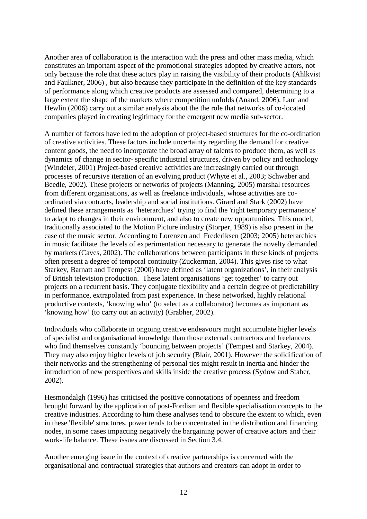Another area of collaboration is the interaction with the press and other mass media, which constitutes an important aspect of the promotional strategies adopted by creative actors, not only because the role that these actors play in raising the visibility of their products (Ahlkvist and Faulkner, 2006) , but also because they participate in the definition of the key standards of performance along which creative products are assessed and compared, determining to a large extent the shape of the markets where competition unfolds (Anand, 2006). Lant and Hewlin (2006) carry out a similar analysis about the the role that networks of co-located companies played in creating legitimacy for the emergent new media sub-sector.

A number of factors have led to the adoption of project-based structures for the co-ordination of creative activities. These factors include uncertainty regarding the demand for creative content goods, the need to incorporate the broad array of talents to produce them, as well as dynamics of change in sector- specific industrial structures, driven by policy and technology (Windeler, 2001) Project-based creative activities are increasingly carried out through processes of recursive iteration of an evolving product (Whyte et al., 2003; Schwaber and Beedle, 2002). These projects or networks of projects (Manning, 2005) marshal resources from different organisations, as well as freelance individuals, whose activities are coordinated via contracts, leadership and social institutions. Girard and Stark (2002) have defined these arrangements as 'heterarchies' trying to find the 'right temporary permanence' to adapt to changes in their environment, and also to create new opportunities. This model, traditionally associated to the Motion Picture industry (Storper, 1989) is also present in the case of the music sector. According to Lorenzen and Frederiksen (2003; 2005) heterarchies in music facilitate the levels of experimentation necessary to generate the novelty demanded by markets (Caves, 2002). The collaborations between participants in these kinds of projects often present a degree of temporal continuity (Zuckerman, 2004). This gives rise to what Starkey, Barnatt and Tempest (2000) have defined as 'latent organizations', in their analysis of British television production. These latent organisations 'get together' to carry out projects on a recurrent basis. They conjugate flexibility and a certain degree of predictability in performance, extrapolated from past experience. In these networked, highly relational productive contexts, 'knowing who' (to select as a collaborator) becomes as important as 'knowing how' (to carry out an activity) (Grabher, 2002).

Individuals who collaborate in ongoing creative endeavours might accumulate higher levels of specialist and organisational knowledge than those external contractors and freelancers who find themselves constantly 'bouncing between projects' (Tempest and Starkey, 2004). They may also enjoy higher levels of job security (Blair, 2001). However the solidification of their networks and the strengthening of personal ties might result in inertia and hinder the introduction of new perspectives and skills inside the creative process (Sydow and Staber, 2002).

Hesmondalgh (1996) has criticised the positive connotations of openness and freedom brought forward by the application of post-Fordism and flexible specialisation concepts to the creative industries. According to him these analyses tend to obscure the extent to which, even in these 'flexible' structures, power tends to be concentrated in the distribution and financing nodes, in some cases impacting negatively the bargaining power of creative actors and their work-life balance. These issues are discussed in Section 3.4.

Another emerging issue in the context of creative partnerships is concerned with the organisational and contractual strategies that authors and creators can adopt in order to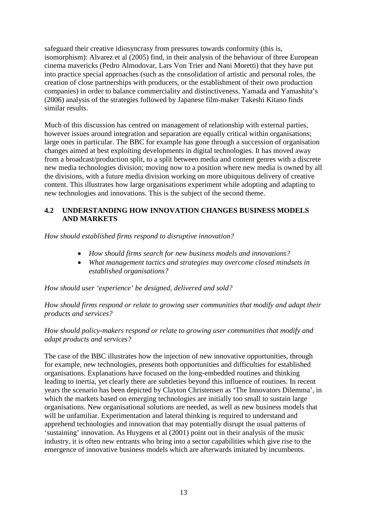safeguard their creative idiosyncrasy from pressures towards conformity (this is, isomorphism): Alvarez et al (2005) find, in their analysis of the behaviour of three European cinema mavericks (Pedro Almodovar, Lars Von Trier and Nani Moretti) that they have put into practice special approaches (such as the consolidation of artistic and personal roles, the creation of close partnerships with producers, or the establishment of their own production companies) in order to balance commerciality and distinctiveness. Yamada and Yamashita's (2006) analysis of the strategies followed by Japanese film-maker Takeshi Kitano finds similar results.

Much of this discussion has centred on management of relationship with external parties, however issues around integration and separation are equally critical within organisations; large ones in particular. The BBC for example has gone through a succession of organisation changes aimed at best exploiting developments in digital technologies. It has moved away from a broadcast/production split, to a split between media and content genres with a discrete new media technologies division; moving now to a position where new media is owned by all the divisions, with a future media division working on more ubiquitous delivery of creative content. This illustrates how large organisations experiment while adopting and adapting to new technologies and innovations. This is the subject of the second theme.

#### <span id="page-12-0"></span>**4.2 UNDERSTANDING HOW INNOVATION CHANGES BUSINESS MODELS AND MARKETS**

*How should established firms respond to disruptive innovation?*

- *How should firms search for new business models and innovations?*
- *What management tactics and strategies may overcome closed mindsets in established organisations?*

*How should user 'experience' be designed, delivered and sold?*

*How should firms respond or relate to growing user communities that modify and adapt their products and services?*

#### *How should policy-makers respond or relate to growing user communities that modify and adapt products and services?*

The case of the BBC illustrates how the injection of new innovative opportunities, through for example, new technologies, presents both opportunities and difficulties for established organisations. Explanations have focused on the long-embedded routines and thinking leading to inertia, yet clearly there are subtleties beyond this influence of routines. In recent years the scenario has been depicted by Clayton Christensen as 'The Innovators Dilemma', in which the markets based on emerging technologies are initially too small to sustain large organisations. New organisational solutions are needed, as well as new business models that will be unfamiliar. Experimentation and lateral thinking is required to understand and apprehend technologies and innovation that may potentially disrupt the usual patterns of 'sustaining' innovation. As Huygens et al (2001) point out in their analysis of the music industry, it is often new entrants who bring into a sector capabilities which give rise to the emergence of innovative business models which are afterwards imitated by incumbents.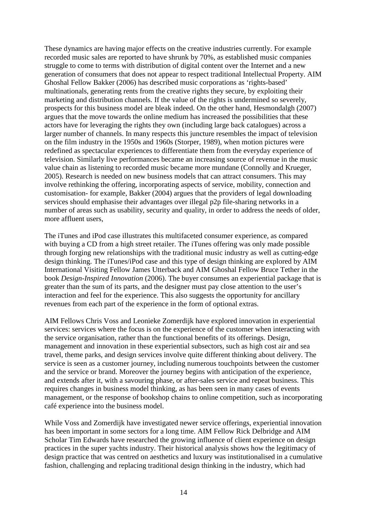These dynamics are having major effects on the creative industries currently. For example recorded music sales are reported to have shrunk by 70%, as established music companies struggle to come to terms with distribution of digital content over the Internet and a new generation of consumers that does not appear to respect traditional Intellectual Property. AIM Ghoshal Fellow Bakker (2006) has described music corporations as 'rights-based' multinationals, generating rents from the creative rights they secure, by exploiting their marketing and distribution channels. If the value of the rights is undermined so severely, prospects for this business model are bleak indeed. On the other hand, Hesmondalgh (2007) argues that the move towards the online medium has increased the possibilities that these actors have for leveraging the rights they own (including large back catalogues) across a larger number of channels. In many respects this juncture resembles the impact of television on the film industry in the 1950s and 1960s (Storper, 1989), when motion pictures were redefined as spectacular experiences to differentiate them from the everyday experience of television. Similarly live performances became an increasing source of revenue in the music value chain as listening to recorded music became more mundane (Connolly and Krueger, 2005). Research is needed on new business models that can attract consumers. This may involve rethinking the offering, incorporating aspects of service, mobility, connection and customisation- for example, Bakker (2004) argues that the providers of legal downloading services should emphasise their advantages over illegal p2p file-sharing networks in a number of areas such as usability, security and quality, in order to address the needs of older, more affluent users,

The iTunes and iPod case illustrates this multifaceted consumer experience, as compared with buying a CD from a high street retailer. The iTunes offering was only made possible through forging new relationships with the traditional music industry as well as cutting-edge design thinking. The iTunes/iPod case and this type of design thinking are explored by AIM International Visiting Fellow James Utterback and AIM Ghoshal Fellow Bruce Tether in the book *Design-Inspired Innovation* (2006). The buyer consumes an experiential package that is greater than the sum of its parts, and the designer must pay close attention to the user's interaction and feel for the experience. This also suggests the opportunity for ancillary revenues from each part of the experience in the form of optional extras.

AIM Fellows Chris Voss and Leonieke Zomerdijk have explored innovation in experiential services: services where the focus is on the experience of the customer when interacting with the service organisation, rather than the functional benefits of its offerings. Design, management and innovation in these experiential subsectors, such as high cost air and sea travel, theme parks, and design services involve quite different thinking about delivery. The service is seen as a customer journey, including numerous touchpoints between the customer and the service or brand. Moreover the journey begins with anticipation of the experience, and extends after it, with a savouring phase, or after-sales service and repeat business. This requires changes in business model thinking, as has been seen in many cases of events management, or the response of bookshop chains to online competition, such as incorporating café experience into the business model.

While Voss and Zomerdijk have investigated newer service offerings, experiential innovation has been important in some sectors for a long time. AIM Fellow Rick Delbridge and AIM Scholar Tim Edwards have researched the growing influence of client experience on design practices in the super yachts industry. Their historical analysis shows how the legitimacy of design practice that was centred on aesthetics and luxury was institutionalised in a cumulative fashion, challenging and replacing traditional design thinking in the industry, which had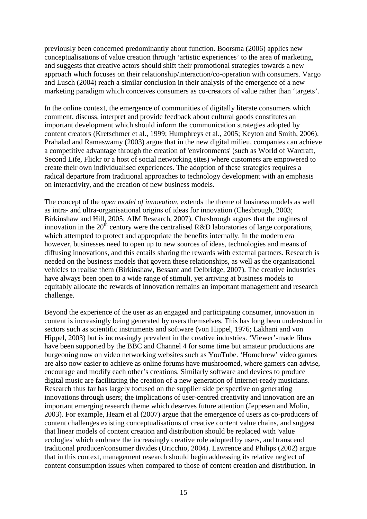previously been concerned predominantly about function. Boorsma (2006) applies new conceptualisations of value creation through 'artistic experiences' to the area of marketing, and suggests that creative actors should shift their promotional strategies towards a new approach which focuses on their relationship/interaction/co-operation with consumers. Vargo and Lusch (2004) reach a similar conclusion in their analysis of the emergence of a new marketing paradigm which conceives consumers as co-creators of value rather than 'targets'.

In the online context, the emergence of communities of digitally literate consumers which comment, discuss, interpret and provide feedback about cultural goods constitutes an important development which should inform the communication strategies adopted by content creators (Kretschmer et al., 1999; Humphreys et al., 2005; Keyton and Smith, 2006). Prahalad and Ramaswamy (2003) argue that in the new digital milieu, companies can achieve a competitive advantage through the creation of 'environments' (such as World of Warcraft, Second Life, Flickr or a host of social networking sites) where customers are empowered to create their own individualised experiences. The adoption of these strategies requires a radical departure from traditional approaches to technology development with an emphasis on interactivity, and the creation of new business models.

The concept of the *open model of innovation*, extends the theme of business models as well as intra- and ultra-organisational origins of ideas for innovation (Chesbrough, 2003; Birkinshaw and Hill, 2005; AIM Research, 2007). Chesbrough argues that the engines of innovation in the  $20<sup>th</sup>$  century were the centralised R&D laboratories of large corporations, which attempted to protect and appropriate the benefits internally. In the modern era however, businesses need to open up to new sources of ideas, technologies and means of diffusing innovations, and this entails sharing the rewards with external partners. Research is needed on the business models that govern these relationships, as well as the organisational vehicles to realise them (Birkinshaw, Bessant and Delbridge, 2007). The creative industries have always been open to a wide range of stimuli, yet arriving at business models to equitably allocate the rewards of innovation remains an important management and research challenge.

Beyond the experience of the user as an engaged and participating consumer, innovation in content is increasingly being generated by users themselves. This has long been understood in sectors such as scientific instruments and software (von Hippel, 1976; Lakhani and von Hippel, 2003) but is increasingly prevalent in the creative industries. 'Viewer'-made films have been supported by the BBC and Channel 4 for some time but amateur productions are burgeoning now on video networking websites such as YouTube. 'Homebrew' video games are also now easier to achieve as online forums have mushroomed, where gamers can advise, encourage and modify each other's creations. Similarly software and devices to produce digital music are facilitating the creation of a new generation of Internet-ready musicians. Research thus far has largely focused on the supplier side perspective on generating innovations through users; the implications of user-centred creativity and innovation are an important emerging research theme which deserves future attention (Jeppesen and Molin, 2003). For example, Hearn et al (2007) argue that the emergence of users as co-producers of content challenges existing conceptualisations of creative content value chains, and suggest that linear models of content creation and distribution should be replaced with 'value ecologies' which embrace the increasingly creative role adopted by users, and transcend traditional producer/consumer divides (Uricchio, 2004). Lawrence and Philips (2002) argue that in this context, management research should begin addressing its relative neglect of content consumption issues when compared to those of content creation and distribution. In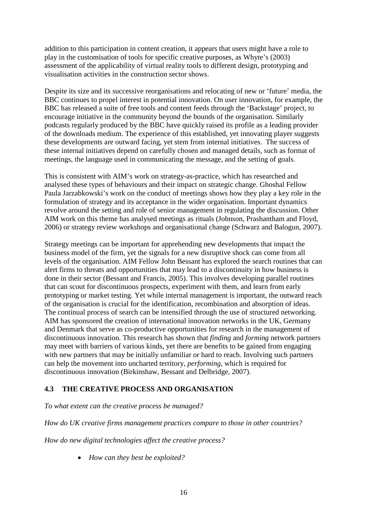addition to this participation in content creation, it appears that users might have a role to play in the customisation of tools for specific creative purposes, as Whyte's (2003) assessment of the applicability of virtual reality tools to different design, prototyping and visualisation activities in the construction sector shows.

Despite its size and its successive reorganisations and relocating of new or 'future' media, the BBC continues to propel interest in potential innovation. On user innovation, for example, the BBC has released a suite of free tools and content feeds through the 'Backstage' project, to encourage initiative in the community beyond the bounds of the organisation. Similarly podcasts regularly produced by the BBC have quickly raised its profile as a leading provider of the downloads medium. The experience of this established, yet innovating player suggests these developments are outward facing, yet stem from internal initiatives. The success of these internal initiatives depend on carefully chosen and managed details, such as format of meetings, the language used in communicating the message, and the setting of goals.

This is consistent with AIM's work on strategy-as-practice, which has researched and analysed these types of behaviours and their impact on strategic change. Ghoshal Fellow Paula Jarzabkowski's work on the conduct of meetings shows how they play a key role in the formulation of strategy and its acceptance in the wider organisation. Important dynamics revolve around the setting and role of senior management in regulating the discussion. Other AIM work on this theme has analysed meetings as rituals (Johnson, Prashantham and Floyd, 2006) or strategy review workshops and organisational change (Schwarz and Balogun, 2007).

Strategy meetings can be important for apprehending new developments that impact the business model of the firm, yet the signals for a new disruptive shock can come from all levels of the organisation. AIM Fellow John Bessant has explored the search routines that can alert firms to threats and opportunities that may lead to a discontinuity in how business is done in their sector (Bessant and Francis, 2005). This involves developing parallel routines that can scout for discontinuous prospects, experiment with them, and learn from early prototyping or market testing. Yet while internal management is important, the outward reach of the organisation is crucial for the identification, recombination and absorption of ideas. The continual process of search can be intensified through the use of structured networking. AIM has sponsored the creation of international innovation networks in the UK, Germany and Denmark that serve as co-productive opportunities for research in the management of discontinuous innovation. This research has shown that *finding* and *forming* network partners may meet with barriers of various kinds, yet there are benefits to be gained from engaging with new partners that may be initially unfamiliar or hard to reach. Involving such partners can help the movement into uncharted territory, *performing*, which is required for discontinuous innovation (Birkinshaw, Bessant and Delbridge, 2007).

#### <span id="page-15-0"></span>**4.3 THE CREATIVE PROCESS AND ORGANISATION**

*To what extent can the creative process be managed?*

*How do UK creative firms management practices compare to those in other countries?*

*How do new digital technologies affect the creative process?*

*How can they best be exploited?*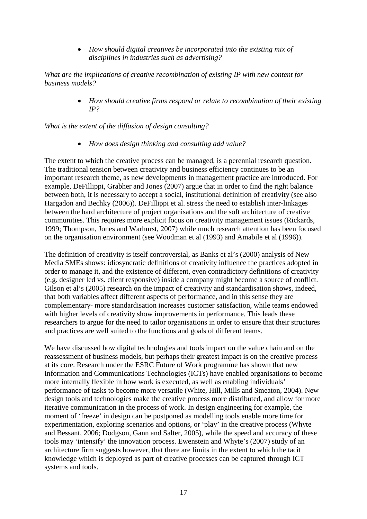*How should digital creatives be incorporated into the existing mix of disciplines in industries such as advertising?*

*What are the implications of creative recombination of existing IP with new content for business models?*

> *How should creative firms respond or relate to recombination of their existing IP?*

*What is the extent of the diffusion of design consulting?*

*How does design thinking and consulting add value?*

The extent to which the creative process can be managed, is a perennial research question. The traditional tension between creativity and business efficiency continues to be an important research theme, as new developments in management practice are introduced. For example, DeFillippi, Grabher and Jones (2007) argue that in order to find the right balance between both, it is necessary to accept a social, institutional definition of creativity (see also Hargadon and Bechky (2006)). DeFillippi et al. stress the need to establish inter-linkages between the hard architecture of project organisations and the soft architecture of creative communities. This requires more explicit focus on creativity management issues (Rickards, 1999; Thompson, Jones and Warhurst, 2007) while much research attention has been focused on the organisation environment (see Woodman et al (1993) and Amabile et al (1996)).

The definition of creativity is itself controversial, as Banks et al's (2000) analysis of New Media SMEs shows: idiosyncratic definitions of creativity influence the practices adopted in order to manage it, and the existence of different, even contradictory definitions of creativity (e.g. designer led vs. client responsive) inside a company might become a source of conflict. Gilson et al's (2005) research on the impact of creativity and standardisation shows, indeed, that both variables affect different aspects of performance, and in this sense they are complementary- more standardisation increases customer satisfaction, while teams endowed with higher levels of creativity show improvements in performance. This leads these researchers to argue for the need to tailor organisations in order to ensure that their structures and practices are well suited to the functions and goals of different teams.

We have discussed how digital technologies and tools impact on the value chain and on the reassessment of business models, but perhaps their greatest impact is on the creative process at its core. Research under the ESRC Future of Work programme has shown that new Information and Communications Technologies (ICTs) have enabled organisations to become more internally flexible in how work is executed, as well as enabling individuals' performance of tasks to become more versatile (White, Hill, Mills and Smeaton, 2004). New design tools and technologies make the creative process more distributed, and allow for more iterative communication in the process of work. In design engineering for example, the moment of 'freeze' in design can be postponed as modelling tools enable more time for experimentation, exploring scenarios and options, or 'play' in the creative process (Whyte and Bessant, 2006; Dodgson, Gann and Salter, 2005), while the speed and accuracy of these tools may 'intensify' the innovation process. Ewenstein and Whyte's (2007) study of an architecture firm suggests however, that there are limits in the extent to which the tacit knowledge which is deployed as part of creative processes can be captured through ICT systems and tools.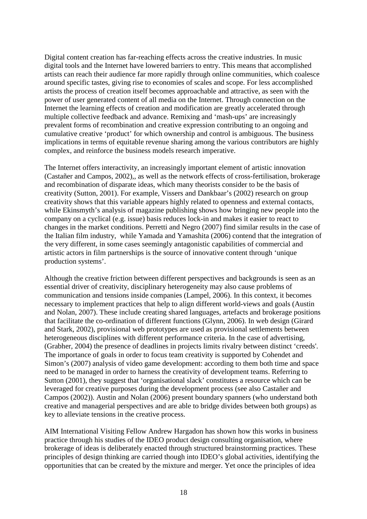Digital content creation has far-reaching effects across the creative industries. In music digital tools and the Internet have lowered barriers to entry. This means that accomplished artists can reach their audience far more rapidly through online communities, which coalesce around specific tastes, giving rise to economies of scales and scope. For less accomplished artists the process of creation itself becomes approachable and attractive, as seen with the power of user generated content of all media on the Internet. Through connection on the Internet the learning effects of creation and modification are greatly accelerated through multiple collective feedback and advance. Remixing and 'mash-ups' are increasingly prevalent forms of recombination and creative expression contributing to an ongoing and cumulative creative 'product' for which ownership and control is ambiguous. The business implications in terms of equitable revenue sharing among the various contributors are highly complex, and reinforce the business models research imperative.

The Internet offers interactivity, an increasingly important element of artistic innovation (Castañer and Campos, 2002),, as well as the network effects of cross-fertilisation, brokerage and recombination of disparate ideas, which many theorists consider to be the basis of creativity (Sutton, 2001). For example, Vissers and Dankbaar's (2002) research on group creativity shows that this variable appears highly related to openness and external contacts, while Ekinsmyth's analysis of magazine publishing shows how bringing new people into the company on a cyclical (e.g. issue) basis reduces lock-in and makes it easier to react to changes in the market conditions. Perretti and Negro (2007) find similar results in the case of the Italian film industry, while Yamada and Yamashita (2006) contend that the integration of the very different, in some cases seemingly antagonistic capabilities of commercial and artistic actors in film partnerships is the source of innovative content through 'unique production systems'.

Although the creative friction between different perspectives and backgrounds is seen as an essential driver of creativity, disciplinary heterogeneity may also cause problems of communication and tensions inside companies (Lampel, 2006). In this context, it becomes necessary to implement practices that help to align different world-views and goals (Austin and Nolan, 2007). These include creating shared languages, artefacts and brokerage positions that facilitate the co-ordination of different functions (Glynn, 2006). In web design (Girard and Stark, 2002), provisional web prototypes are used as provisional settlements between heterogeneous disciplines with different performance criteria. In the case of advertising, (Grabher, 2004) the presence of deadlines in projects limits rivalry between distinct 'creeds'. The importance of goals in order to focus team creativity is supported by Cohendet and Simon's (2007) analysis of video game development: according to them both time and space need to be managed in order to harness the creativity of development teams. Referring to Sutton (2001), they suggest that 'organisational slack' constitutes a resource which can be leveraged for creative purposes during the development process (see also Castañer and Campos (2002)). Austin and Nolan (2006) present boundary spanners (who understand both creative and managerial perspectives and are able to bridge divides between both groups) as key to alleviate tensions in the creative process.

AIM International Visiting Fellow Andrew Hargadon has shown how this works in business practice through his studies of the IDEO product design consulting organisation, where brokerage of ideas is deliberately enacted through structured brainstorming practices. These principles of design thinking are carried though into IDEO's global activities, identifying the opportunities that can be created by the mixture and merger. Yet once the principles of idea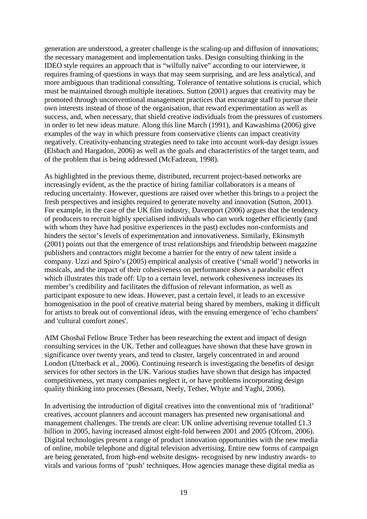generation are understood, a greater challenge is the scaling-up and diffusion of innovations; the necessary management and implementation tasks. Design consulting thinking in the IDEO style requires an approach that is "wilfully naïve" according to our interviewee, it requires framing of questions in ways that may seem surprising, and are less analytical, and more ambiguous than traditional consulting. Tolerance of tentative solutions is crucial, which must be maintained through multiple iterations. Sutton (2001) argues that creativity may be promoted through unconventional management practices that encourage staff to pursue their own interests instead of those of the organisation, that reward experimentation as well as success, and, when necessary, that shield creative individuals from the pressures of customers in order to let new ideas mature. Along this line March (1991), and Kawashima (2006) give examples of the way in which pressure from conservative clients can impact creativity negatively. Creativity-enhancing strategies need to take into account work-day design issues (Elsbach and Hargadon, 2006) as well as the goals and characteristics of the target team, and of the problem that is being addressed (McFadzean, 1998).

As highlighted in the previous theme, distributed, recurrent project-based networks are increasingly evident, as the the practice of hiring familiar collaborators is a means of reducing uncertainty. However, questions are raised over whether this brings to a project the fresh perspectives and insights required to generate novelty and innovation (Sutton, 2001). For example, in the case of the UK film industry, Davenport (2006) argues that the tendency of producers to recruit highly specialised individuals who can work together efficiently (and with whom they have had positive experiences in the past) excludes non-conformists and hinders the sector's levels of experimentation and innovativeness. Similarly, Ekinsmyth (2001) points out that the emergence of trust relationships and friendship between magazine publishers and contractors might become a barrier for the entry of new talent inside a company. Uzzi and Spiro's (2005) empirical analysis of creative ('small world') networks in musicals, and the impact of their cohesiveness on performance shows a parabolic effect which illustrates this trade off: Up to a certain level, network cohesiveness increases its member's credibility and facilitates the diffusion of relevant information, as well as participant exposure to new ideas. However, past a certain level, it leads to an excessive homogenisation in the pool of creative material being shared by members, making it difficult for artists to break out of conventional ideas, with the ensuing emergence of 'echo chambers' and 'cultural comfort zones'.

AIM Ghoshal Fellow Bruce Tether has been researching the extent and impact of design consulting services in the UK. Tether and colleagues have shown that these have grown in significance over twenty years, and tend to cluster, largely concentrated in and around London (Utterback et al., 2006). Continuing research is investigating the benefits of design services for other sectors in the UK. Various studies have shown that design has impacted competitiveness, yet many companies neglect it, or have problems incorporating design quality thinking into processes (Bessant, Neely, Tether, Whyte and Yaghi, 2006).

In advertising the introduction of digital creatives into the conventional mix of 'traditional' creatives, account planners and account managers has presented new organisational and management challenges. The trends are clear: UK online advertising revenue totalled £1.3 billion in 2005, having increased almost eight-fold between 2001 and 2005 (Ofcom, 2006). Digital technologies present a range of product innovation opportunities with the new media of online, mobile telephone and digital television advertising. Entire new forms of campaign are being generated, from high-end website designs- recognised by new industry awards- to virals and various forms of 'push' techniques. How agencies manage these digital media as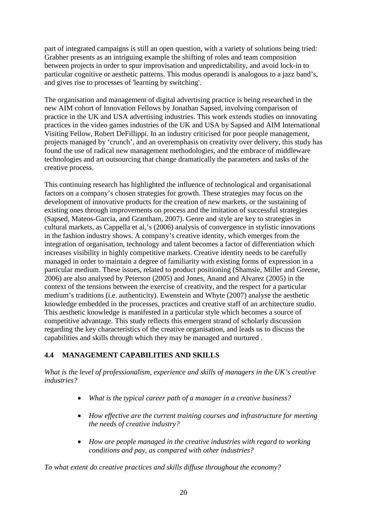part of integrated campaigns is still an open question, with a variety of solutions being tried: Grabher presents as an intriguing example the shifting of roles and team composition between projects in order to spur improvisation and unpredictability, and avoid lock-in to particular cognitive or aesthetic patterns. This modus operandi is analogous to a jazz band's, and gives rise to processes of 'learning by switching'.

The organisation and management of digital advertising practice is being researched in the new AIM cohort of Innovation Fellows by Jonathan Sapsed, involving comparison of practice in the UK and USA advertising industries. This work extends studies on innovating practices in the video games industries of the UK and USA by Sapsed and AIM International Visiting Fellow, Robert DeFillippi. In an industry criticised for poor people management, projects managed by 'crunch', and an overemphasis on creativity over delivery, this study has found the use of radical new management methodologies, and the embrace of middleware technologies and art outsourcing that change dramatically the parameters and tasks of the creative process.

This continuing research has highlighted the influence of technological and organisational factors on a company's chosen strategies for growth. These strategies may focus on the development of innovative products for the creation of new markets, or the sustaining of existing ones through improvements on process and the imitation of successful strategies (Sapsed, Mateos-Garcia, and Grantham, 2007). Genre and style are key to strategies in cultural markets, as Cappella et al,'s (2006) analysis of convergence in stylistic innovations in the fashion industry shows. A company's creative identity, which emerges from the integration of organisation, technology and talent becomes a factor of differentiation which increases visibility in highly competitive markets. Creative identity needs to be carefully managed in order to maintain a degree of familiarity with existing forms of expression in a particular medium. These issues, related to product positioning (Shamsie, Miller and Greene, 2006) are also analysed by Peterson (2005) and Jones, Anand and Alvarez (2005) in the context of the tensions between the exercise of creativity, and the respect for a particular medium's traditions (i.e. authenticity). Ewenstein and Whyte (2007) analyse the aesthetic knowledge embedded in the processes, practices and creative staff of an architecture studio. This aesthetic knowledge is manifested in a particular style which becomes a source of competitive advantage. This study reflects this emergent strand of scholarly discussion regarding the key characteristics of the creative organisation, and leads us to discuss the capabilities and skills through which they may be managed and nurtured .

#### <span id="page-19-0"></span>**4.4 MANAGEMENT CAPABILITIES AND SKILLS**

*What is the level of professionalism, experience and skills of managers in the UK's creative industries?*

- *What is the typical career path of a manager in a creative business?*
- *How effective are the current training courses and infrastructure for meeting the needs of creative industry?*
- *How are people managed in the creative industries with regard to working conditions and pay, as compared with other industries?*

*To what extent do creative practices and skills diffuse throughout the economy?*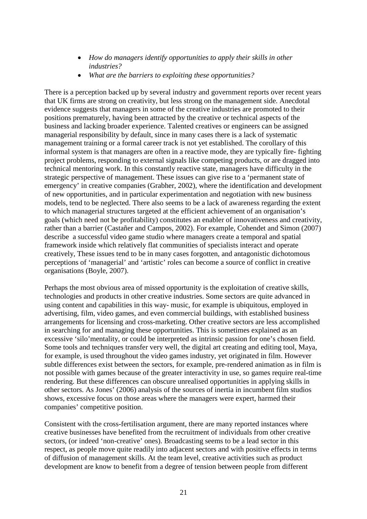- *How do managers identify opportunities to apply their skills in other industries?*
- *What are the barriers to exploiting these opportunities?*

There is a perception backed up by several industry and government reports over recent years that UK firms are strong on creativity, but less strong on the management side. Anecdotal evidence suggests that managers in some of the creative industries are promoted to their positions prematurely, having been attracted by the creative or technical aspects of the business and lacking broader experience. Talented creatives or engineers can be assigned managerial responsibility by default, since in many cases there is a lack of systematic management training or a formal career track is not yet established. The corollary of this informal system is that managers are often in a reactive mode, they are typically fire- fighting project problems, responding to external signals like competing products, or are dragged into technical mentoring work. In this constantly reactive state, managers have difficulty in the strategic perspective of management. These issues can give rise to a 'permanent state of emergency' in creative companies (Grabher, 2002), where the identification and development of new opportunities, and in particular experimentation and negotiation with new business models, tend to be neglected. There also seems to be a lack of awareness regarding the extent to which managerial structures targeted at the efficient achievement of an organisation's goals (which need not be profitability) constitutes an enabler of innovativeness and creativity, rather than a barrier (Castañer and Campos, 2002). For example, Cohendet and Simon (2007) describe a successful video game studio where managers create a temporal and spatial framework inside which relatively flat communities of specialists interact and operate creatively, These issues tend to be in many cases forgotten, and antagonistic dichotomous perceptions of 'managerial' and 'artistic' roles can become a source of conflict in creative organisations (Boyle, 2007).

Perhaps the most obvious area of missed opportunity is the exploitation of creative skills, technologies and products in other creative industries. Some sectors are quite advanced in using content and capabilities in this way- music, for example is ubiquitous, employed in advertising, film, video games, and even commercial buildings, with established business arrangements for licensing and cross-marketing. Other creative sectors are less accomplished in searching for and managing these opportunities. This is sometimes explained as an excessive 'silo'mentality, or could be interpreted as intrinsic passion for one's chosen field. Some tools and techniques transfer very well, the digital art creating and editing tool, Maya, for example, is used throughout the video games industry, yet originated in film. However subtle differences exist between the sectors, for example, pre-rendered animation as in film is not possible with games because of the greater interactivity in use, so games require real-time rendering. But these differences can obscure unrealised opportunities in applying skills in other sectors. As Jones' (2006) analysis of the sources of inertia in incumbent film studios shows, excessive focus on those areas where the managers were expert, harmed their companies' competitive position.

Consistent with the cross-fertilisation argument, there are many reported instances where creative businesses have benefited from the recruitment of individuals from other creative sectors, (or indeed 'non-creative' ones). Broadcasting seems to be a lead sector in this respect, as people move quite readily into adjacent sectors and with positive effects in terms of diffusion of management skills. At the team level, creative activities such as product development are know to benefit from a degree of tension between people from different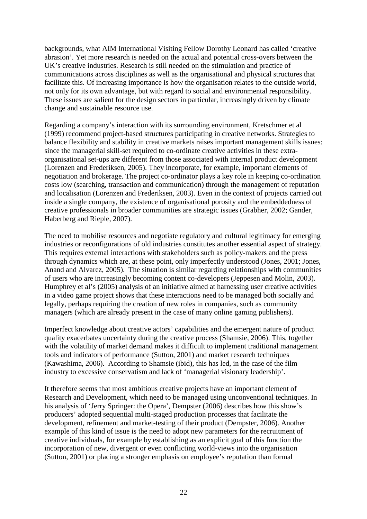backgrounds, what AIM International Visiting Fellow Dorothy Leonard has called 'creative abrasion'. Yet more research is needed on the actual and potential cross-overs between the UK's creative industries. Research is still needed on the stimulation and practice of communications across disciplines as well as the organisational and physical structures that facilitate this. Of increasing importance is how the organisation relates to the outside world, not only for its own advantage, but with regard to social and environmental responsibility. These issues are salient for the design sectors in particular, increasingly driven by climate change and sustainable resource use.

Regarding a company's interaction with its surrounding environment, Kretschmer et al (1999) recommend project-based structures participating in creative networks. Strategies to balance flexibility and stability in creative markets raises important management skills issues: since the managerial skill-set required to co-ordinate creative activities in these extraorganisational set-ups are different from those associated with internal product development (Lorenzen and Frederiksen, 2005). They incorporate, for example, important elements of negotiation and brokerage. The project co-ordinator plays a key role in keeping co-ordination costs low (searching, transaction and communication) through the management of reputation and localisation (Lorenzen and Frederiksen, 2003). Even in the context of projects carried out inside a single company, the existence of organisational porosity and the embeddedness of creative professionals in broader communities are strategic issues (Grabher, 2002; Gander, Haberberg and Rieple, 2007).

The need to mobilise resources and negotiate regulatory and cultural legitimacy for emerging industries or reconfigurations of old industries constitutes another essential aspect of strategy. This requires external interactions with stakeholders such as policy-makers and the press through dynamics which are, at these point, only imperfectly understood (Jones, 2001; Jones, Anand and Alvarez, 2005). The situation is similar regarding relationships with communities of users who are increasingly becoming content co-developers (Jeppesen and Molin, 2003). Humphrey et al's (2005) analysis of an initiative aimed at harnessing user creative activities in a video game project shows that these interactions need to be managed both socially and legally, perhaps requiring the creation of new roles in companies, such as community managers (which are already present in the case of many online gaming publishers).

Imperfect knowledge about creative actors' capabilities and the emergent nature of product quality exacerbates uncertainty during the creative process (Shamsie, 2006). This, together with the volatility of market demand makes it difficult to implement traditional management tools and indicators of performance (Sutton, 2001) and market research techniques (Kawashima, 2006). According to Shamsie (ibid), this has led, in the case of the film industry to excessive conservatism and lack of 'managerial visionary leadership'.

It therefore seems that most ambitious creative projects have an important element of Research and Development, which need to be managed using unconventional techniques. In his analysis of 'Jerry Springer: the Opera', Dempster (2006) describes how this show's producers' adopted sequential multi-staged production processes that facilitate the development, refinement and market-testing of their product (Dempster, 2006). Another example of this kind of issue is the need to adopt new parameters for the recruitment of creative individuals, for example by establishing as an explicit goal of this function the incorporation of new, divergent or even conflicting world-views into the organisation (Sutton, 2001) or placing a stronger emphasis on employee's reputation than formal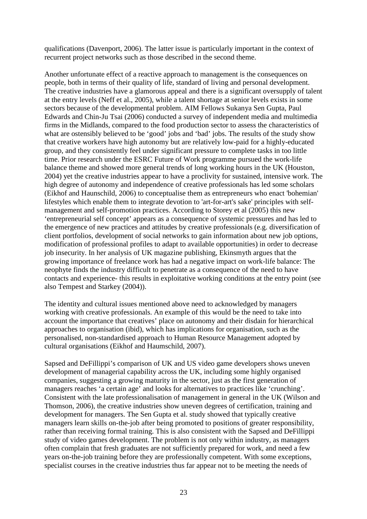qualifications (Davenport, 2006). The latter issue is particularly important in the context of recurrent project networks such as those described in the second theme.

Another unfortunate effect of a reactive approach to management is the consequences on people, both in terms of their quality of life, standard of living and personal development. The creative industries have a glamorous appeal and there is a significant oversupply of talent at the entry levels (Neff et al., 2005), while a talent shortage at senior levels exists in some sectors because of the developmental problem. AIM Fellows Sukanya Sen Gupta, Paul Edwards and Chin-Ju Tsai (2006) conducted a survey of independent media and multimedia firms in the Midlands, compared to the food production sector to assess the characteristics of what are ostensibly believed to be 'good' jobs and 'bad' jobs. The results of the study show that creative workers have high autonomy but are relatively low-paid for a highly-educated group, and they consistently feel under significant pressure to complete tasks in too little time. Prior research under the ESRC Future of Work programme pursued the work-life balance theme and showed more general trends of long working hours in the UK (Houston, 2004) yet the creative industries appear to have a proclivity for sustained, intensive work. The high degree of autonomy and independence of creative professionals has led some scholars (Eikhof and Haunschild, 2006) to conceptualise them as entrepreneurs who enact 'bohemian' lifestyles which enable them to integrate devotion to 'art-for-art's sake' principles with selfmanagement and self-promotion practices. According to Storey et al (2005) this new 'entrepreneurial self concept' appears as a consequence of systemic pressures and has led to the emergence of new practices and attitudes by creative professionals (e.g. diversification of client portfolios, development of social networks to gain information about new job options, modification of professional profiles to adapt to available opportunities) in order to decrease job insecurity. In her analysis of UK magazine publishing, Ekinsmyth argues that the growing importance of freelance work has had a negative impact on work-life balance: The neophyte finds the industry difficult to penetrate as a consequence of the need to have contacts and experience- this results in exploitative working conditions at the entry point (see also Tempest and Starkey (2004)).

The identity and cultural issues mentioned above need to acknowledged by managers working with creative professionals. An example of this would be the need to take into account the importance that creatives' place on autonomy and their disdain for hierarchical approaches to organisation (ibid), which has implications for organisation, such as the personalised, non-standardised approach to Human Resource Management adopted by cultural organisations (Eikhof and Haumschild, 2007).

Sapsed and DeFillippi's comparison of UK and US video game developers shows uneven development of managerial capability across the UK, including some highly organised companies, suggesting a growing maturity in the sector, just as the first generation of managers reaches 'a certain age' and looks for alternatives to practices like 'crunching'. Consistent with the late professionalisation of management in general in the UK (Wilson and Thomson, 2006), the creative industries show uneven degrees of certification, training and development for managers. The Sen Gupta et al. study showed that typically creative managers learn skills on-the-job after being promoted to positions of greater responsibility, rather than receiving formal training. This is also consistent with the Sapsed and DeFillippi study of video games development. The problem is not only within industry, as managers often complain that fresh graduates are not sufficiently prepared for work, and need a few years on-the-job training before they are professionally competent. With some exceptions, specialist courses in the creative industries thus far appear not to be meeting the needs of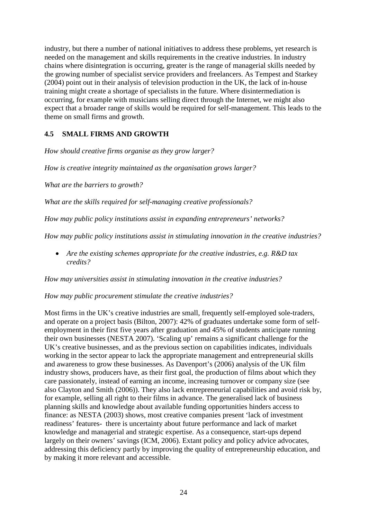industry, but there a number of national initiatives to address these problems, yet research is needed on the management and skills requirements in the creative industries. In industry chains where disintegration is occurring, greater is the range of managerial skills needed by the growing number of specialist service providers and freelancers. As Tempest and Starkey (2004) point out in their analysis of television production in the UK, the lack of in-house training might create a shortage of specialists in the future. Where disintermediation is occurring, for example with musicians selling direct through the Internet, we might also expect that a broader range of skills would be required for self-management. This leads to the theme on small firms and growth.

### <span id="page-23-0"></span>**4.5 SMALL FIRMS AND GROWTH**

*How should creative firms organise as they grow larger?*

*How is creative integrity maintained as the organisation grows larger?*

*What are the barriers to growth?*

*What are the skills required for self-managing creative professionals?*

*How may public policy institutions assist in expanding entrepreneurs' networks?*

*How may public policy institutions assist in stimulating innovation in the creative industries?*

 *Are the existing schemes appropriate for the creative industries, e.g. R&D tax credits?*

*How may universities assist in stimulating innovation in the creative industries?*

#### *How may public procurement stimulate the creative industries?*

Most firms in the UK's creative industries are small, frequently self-employed sole-traders, and operate on a project basis (Bilton, 2007): 42% of graduates undertake some form of selfemployment in their first five years after graduation and 45% of students anticipate running their own businesses (NESTA 2007). 'Scaling up' remains a significant challenge for the UK's creative businesses, and as the previous section on capabilities indicates, individuals working in the sector appear to lack the appropriate management and entrepreneurial skills and awareness to grow these businesses. As Davenport's (2006) analysis of the UK film industry shows, producers have, as their first goal, the production of films about which they care passionately, instead of earning an income, increasing turnover or company size (see also Clayton and Smith (2006)). They also lack entrepreneurial capabilities and avoid risk by, for example, selling all right to their films in advance. The generalised lack of business planning skills and knowledge about available funding opportunities hinders access to finance: as NESTA (2003) shows, most creative companies present 'lack of investment readiness' features- there is uncertainty about future performance and lack of market knowledge and managerial and strategic expertise. As a consequence, start-ups depend largely on their owners' savings (ICM, 2006). Extant policy and policy advice advocates, addressing this deficiency partly by improving the quality of entrepreneurship education, and by making it more relevant and accessible.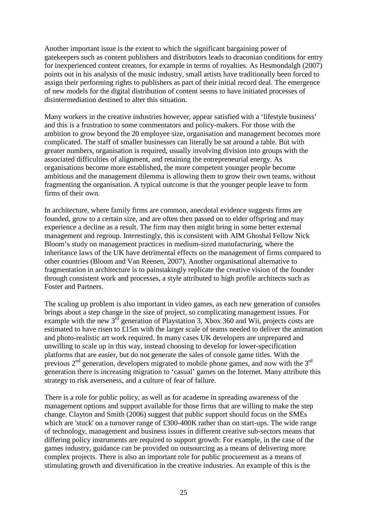Another important issue is the extent to which the significant bargaining power of gatekeepers such as content publishers and distributors leads to draconian conditions for entry for inexperienced content creators, for example in terms of royalties. As Hesmondalgh (2007) points out in his analysis of the music industry, small artists have traditionally been forced to assign their performing rights to publishers as part of their initial record deal. The emergence of new models for the digital distribution of content seems to have initiated processes of disintermediation destined to alter this situation.

Many workers in the creative industries however, appear satisfied with a 'lifestyle business' and this is a frustration to some commentators and policy-makers. For those with the ambition to grow beyond the 20 employee size, organisation and management becomes more complicated. The staff of smaller businesses can literally be sat around a table. But with greater numbers, organisation is required, usually involving division into groups with the associated difficulties of alignment, and retaining the entrepreneurial energy. As organisations become more established, the more competent younger people become ambitious and the management dilemma is allowing them to grow their own teams, without fragmenting the organisation. A typical outcome is that the younger people leave to form firms of their own.

In architecture, where family firms are common, anecdotal evidence suggests firms are founded, grow to a certain size, and are often then passed on to elder offspring and may experience a decline as a result. The firm may then might bring in some better external management and regroup. Interestingly, this is consistent with AIM Ghoshal Fellow Nick Bloom's study on management practices in medium-sized manufacturing, where the inheritance laws of the UK have detrimental effects on the management of firms compared to other countries (Bloom and Van Reenen, 2007). Another organisational alternative to fragmentation in architecture is to painstakingly replicate the creative vision of the founder through consistent work and processes, a style attributed to high profile architects such as Foster and Partners.

The scaling up problem is also important in video games, as each new generation of consoles brings about a step change in the size of project, so complicating management issues. For example with the new  $3^{rd}$  generation of Playstation 3, Xbox 360 and Wii, projects costs are estimated to have risen to £15m with the larger scale of teams needed to deliver the animation and photo-realistic art work required. In many cases UK developers are unprepared and unwilling to scale up in this way, instead choosing to develop for lower-specification platforms that are easier, but do not generate the sales of console game titles. With the previous  $2<sup>nd</sup>$  generation, developers migrated to mobile phone games, and now with the  $3<sup>rd</sup>$ generation there is increasing migration to 'casual' games on the Internet. Many attribute this strategy to risk averseness, and a culture of fear of failure.

There is a role for public policy, as well as for academe in spreading awareness of the management options and support available for those firms that are willing to make the step change. Clayton and Smith (2006) suggest that public support should focus on the SMEs which are 'stuck' on a turnover range of £300-400K rather than on start-ups. The wide range of technology, management and business issues in different creative sub-sectors means that differing policy instruments are required to support growth: For example, in the case of the games industry, guidance can be provided on outsourcing as a means of delivering more complex projects. There is also an important role for public procurement as a means of stimulating growth and diversification in the creative industries. An example of this is the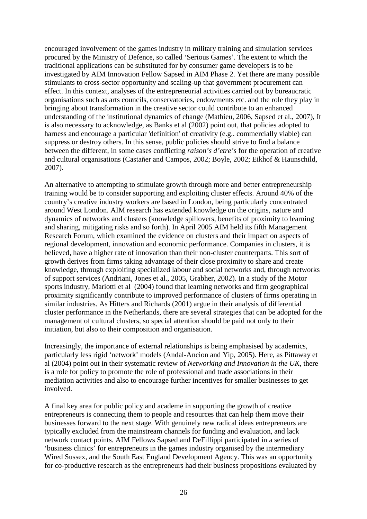encouraged involvement of the games industry in military training and simulation services procured by the Ministry of Defence, so called 'Serious Games'. The extent to which the traditional applications can be substituted for by consumer game developers is to be investigated by AIM Innovation Fellow Sapsed in AIM Phase 2. Yet there are many possible stimulants to cross-sector opportunity and scaling-up that government procurement can effect. In this context, analyses of the entrepreneurial activities carried out by bureaucratic organisations such as arts councils, conservatories, endowments etc. and the role they play in bringing about transformation in the creative sector could contribute to an enhanced understanding of the institutional dynamics of change (Mathieu, 2006, Sapsed et al., 2007), It is also necessary to acknowledge, as Banks et al (2002) point out, that policies adopted to harness and encourage a particular 'definition' of creativity (e.g.. commercially viable) can suppress or destroy others. In this sense, public policies should strive to find a balance between the different, in some cases conflicting *raison's d'etre's* for the operation of creative and cultural organisations (Castañer and Campos, 2002; Boyle, 2002; Eikhof & Haunschild, 2007).

An alternative to attempting to stimulate growth through more and better entrepreneurship training would be to consider supporting and exploiting cluster effects. Around 40% of the country's creative industry workers are based in London, being particularly concentrated around West London. AIM research has extended knowledge on the origins, nature and dynamics of networks and clusters (knowledge spillovers, benefits of proximity to learning and sharing, mitigating risks and so forth). In April 2005 AIM held its fifth Management Research Forum, which examined the evidence on clusters and their impact on aspects of regional development, innovation and economic performance. Companies in clusters, it is believed, have a higher rate of innovation than their non-cluster counterparts. This sort of growth derives from firms taking advantage of their close proximity to share and create knowledge, through exploiting specialized labour and social networks and, through networks of support services (Andriani, Jones et al., 2005, Grabher, 2002). In a study of the Motor sports industry, Mariotti et al (2004) found that learning networks and firm geographical proximity significantly contribute to improved performance of clusters of firms operating in similar industries. As Hitters and Richards (2001) argue in their analysis of differential cluster performance in the Netherlands, there are several strategies that can be adopted for the management of cultural clusters, so special attention should be paid not only to their initiation, but also to their composition and organisation.

Increasingly, the importance of external relationships is being emphasised by academics, particularly less rigid 'network' models (Andal-Ancion and Yip, 2005). Here, as Pittaway et al (2004) point out in their systematic review of *Networking and Innovation in the UK*, there is a role for policy to promote the role of professional and trade associations in their mediation activities and also to encourage further incentives for smaller businesses to get involved.

A final key area for public policy and academe in supporting the growth of creative entrepreneurs is connecting them to people and resources that can help them move their businesses forward to the next stage. With genuinely new radical ideas entrepreneurs are typically excluded from the mainstream channels for funding and evaluation, and lack network contact points. AIM Fellows Sapsed and DeFillippi participated in a series of 'business clinics' for entrepreneurs in the games industry organised by the intermediary Wired Sussex, and the South East England Development Agency. This was an opportunity for co-productive research as the entrepreneurs had their business propositions evaluated by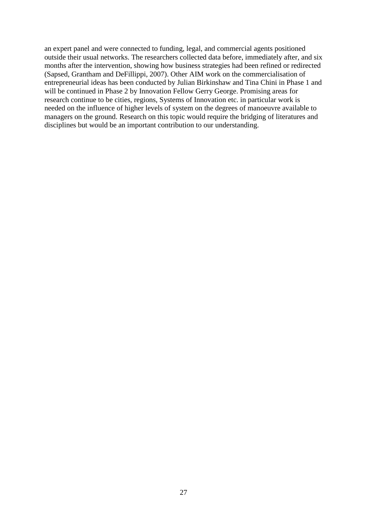an expert panel and were connected to funding, legal, and commercial agents positioned outside their usual networks. The researchers collected data before, immediately after, and six months after the intervention, showing how business strategies had been refined or redirected (Sapsed, Grantham and DeFillippi, 2007). Other AIM work on the commercialisation of entrepreneurial ideas has been conducted by Julian Birkinshaw and Tina Chini in Phase 1 and will be continued in Phase 2 by Innovation Fellow Gerry George. Promising areas for research continue to be cities, regions, Systems of Innovation etc. in particular work is needed on the influence of higher levels of system on the degrees of manoeuvre available to managers on the ground. Research on this topic would require the bridging of literatures and disciplines but would be an important contribution to our understanding.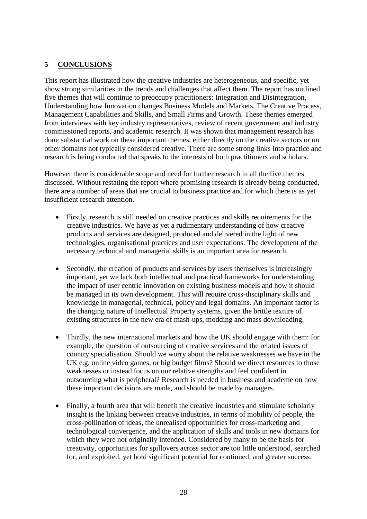#### <span id="page-27-0"></span>**5 CONCLUSIONS**

This report has illustrated how the creative industries are heterogeneous, and specific, yet show strong similarities in the trends and challenges that affect them. The report has outlined five themes that will continue to preoccupy practitioners: Integration and Disintegration, Understanding how Innovation changes Business Models and Markets, The Creative Process, Management Capabilities and Skills, and Small Firms and Growth. These themes emerged from interviews with key industry representatives, review of recent government and industry commissioned reports, and academic research. It was shown that management research has done substantial work on these important themes, either directly on the creative sectors or on other domains not typically considered creative. There are some strong links into practice and research is being conducted that speaks to the interests of both practitioners and scholars.

However there is considerable scope and need for further research in all the five themes discussed. Without restating the report where promising research is already being conducted, there are a number of areas that are crucial to business practice and for which there is as yet insufficient research attention.

- Firstly, research is still needed on creative practices and skills requirements for the creative industries. We have as yet a rudimentary understanding of how creative products and services are designed, produced and delivered in the light of new technologies, organisational practices and user expectations. The development of the necessary technical and managerial skills is an important area for research.
- Secondly, the creation of products and services by users themselves is increasingly important, yet we lack both intellectual and practical frameworks for understanding the impact of user centric innovation on existing business models and how it should be managed in its own development. This will require cross-disciplinary skills and knowledge in managerial, technical, policy and legal domains. An important factor is the changing nature of Intellectual Property systems, given the brittle texture of existing structures in the new era of mash-ups, modding and mass downloading.
- Thirdly, the new international markets and how the UK should engage with them: for example, the question of outsourcing of creative services and the related issues of country specialisation. Should we worry about the relative weaknesses we have in the UK e.g. online video games, or big budget films? Should we direct resources to those weaknesses or instead focus on our relative strengths and feel confident in outsourcing what is peripheral? Research is needed in business and academe on how these important decisions are made, and should be made by managers.
- Finally, a fourth area that will benefit the creative industries and stimulate scholarly insight is the linking between creative industries, in terms of mobility of people, the cross-pollination of ideas, the unrealised opportunities for cross-marketing and technological convergence, and the application of skills and tools in new domains for which they were not originally intended. Considered by many to be the basis for creativity, opportunities for spillovers across sector are too little understood, searched for, and exploited, yet hold significant potential for continued, and greater success.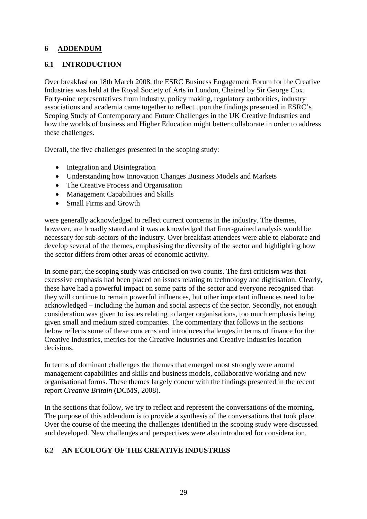#### <span id="page-28-0"></span>**6 ADDENDUM**

#### <span id="page-28-1"></span>**6.1 INTRODUCTION**

Over breakfast on 18th March 2008, the ESRC Business Engagement Forum for the Creative Industries was held at the Royal Society of Arts in London, Chaired by Sir George Cox. Forty-nine representatives from industry, policy making, regulatory authorities, industry associations and academia came together to reflect upon the findings presented in ESRC's Scoping Study of Contemporary and Future Challenges in the UK Creative Industries and how the worlds of business and Higher Education might better collaborate in order to address these challenges.

Overall, the five challenges presented in the scoping study:

- Integration and Disintegration
- Understanding how Innovation Changes Business Models and Markets
- The Creative Process and Organisation
- Management Capabilities and Skills
- Small Firms and Growth

were generally acknowledged to reflect current concerns in the industry. The themes, however, are broadly stated and it was acknowledged that finer-grained analysis would be necessary for sub-sectors of the industry. Over breakfast attendees were able to elaborate and develop several of the themes, emphasising the diversity of the sector and highlighting how the sector differs from other areas of economic activity.

In some part, the scoping study was criticised on two counts. The first criticism was that excessive emphasis had been placed on issues relating to technology and digitisation. Clearly, these have had a powerful impact on some parts of the sector and everyone recognised that they will continue to remain powerful influences, but other important influences need to be acknowledged – including the human and social aspects of the sector. Secondly, not enough consideration was given to issues relating to larger organisations, too much emphasis being given small and medium sized companies. The commentary that follows in the sections below reflects some of these concerns and introduces challenges in terms of finance for the Creative Industries, metrics for the Creative Industries and Creative Industries location decisions.

In terms of dominant challenges the themes that emerged most strongly were around management capabilities and skills and business models, collaborative working and new organisational forms. These themes largely concur with the findings presented in the recent report *Creative Britain* (DCMS, 2008).

In the sections that follow, we try to reflect and represent the conversations of the morning. The purpose of this addendum is to provide a synthesis of the conversations that took place. Over the course of the meeting the challenges identified in the scoping study were discussed and developed. New challenges and perspectives were also introduced for consideration.

#### <span id="page-28-2"></span>**6.2 AN ECOLOGY OF THE CREATIVE INDUSTRIES**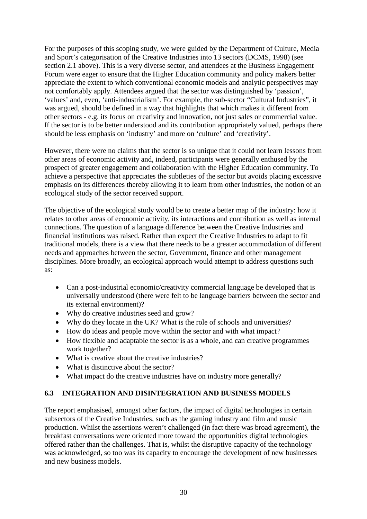For the purposes of this scoping study, we were guided by the Department of Culture, Media and Sport's categorisation of the Creative Industries into 13 sectors (DCMS, 1998) (see section 2.1 above). This is a very diverse sector, and attendees at the Business Engagement Forum were eager to ensure that the Higher Education community and policy makers better appreciate the extent to which conventional economic models and analytic perspectives may not comfortably apply. Attendees argued that the sector was distinguished by 'passion', 'values' and, even, 'anti-industrialism'. For example, the sub-sector "Cultural Industries", it was argued, should be defined in a way that highlights that which makes it different from other sectors - e.g. its focus on creativity and innovation, not just sales or commercial value. If the sector is to be better understood and its contribution appropriately valued, perhaps there should be less emphasis on 'industry' and more on 'culture' and 'creativity'.

However, there were no claims that the sector is so unique that it could not learn lessons from other areas of economic activity and, indeed, participants were generally enthused by the prospect of greater engagement and collaboration with the Higher Education community. To achieve a perspective that appreciates the subtleties of the sector but avoids placing excessive emphasis on its differences thereby allowing it to learn from other industries, the notion of an ecological study of the sector received support.

The objective of the ecological study would be to create a better map of the industry: how it relates to other areas of economic activity, its interactions and contribution as well as internal connections. The question of a language difference between the Creative Industries and financial institutions was raised. Rather than expect the Creative Industries to adapt to fit traditional models, there is a view that there needs to be a greater accommodation of different needs and approaches between the sector, Government, finance and other management disciplines. More broadly, an ecological approach would attempt to address questions such as:

- Can a post-industrial economic/creativity commercial language be developed that is universally understood (there were felt to be language barriers between the sector and its external environment)?
- Why do creative industries seed and grow?
- Why do they locate in the UK? What is the role of schools and universities?
- How do ideas and people move within the sector and with what impact?
- How flexible and adaptable the sector is as a whole, and can creative programmes work together?
- What is creative about the creative industries?
- What is distinctive about the sector?
- <span id="page-29-0"></span>• What impact do the creative industries have on industry more generally?

#### **6.3 INTEGRATION AND DISINTEGRATION AND BUSINESS MODELS**

The report emphasised, amongst other factors, the impact of digital technologies in certain subsectors of the Creative Industries, such as the gaming industry and film and music production. Whilst the assertions weren't challenged (in fact there was broad agreement), the breakfast conversations were oriented more toward the opportunities digital technologies offered rather than the challenges. That is, whilst the disruptive capacity of the technology was acknowledged, so too was its capacity to encourage the development of new businesses and new business models.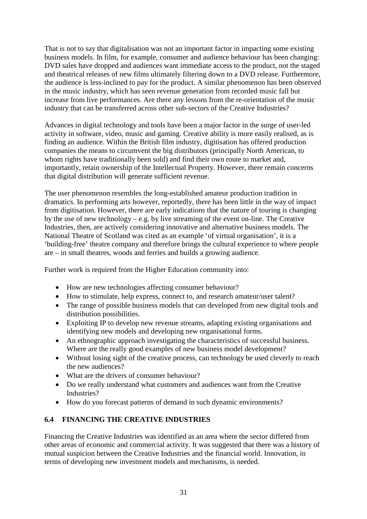That is not to say that digitalisation was not an important factor in impacting some existing business models. In film, for example, consumer and audience behaviour has been changing: DVD sales have dropped and audiences want immediate access to the product, not the staged and theatrical releases of new films ultimately filtering down to a DVD release. Furthermore, the audience is less-inclined to pay for the product. A similar phenomenon has been observed in the music industry, which has seen revenue generation from recorded music fall but increase from live performances. Are there any lessons from the re-orientation of the music industry that can be transferred across other sub-sectors of the Creative Industries?

Advances in digital technology and tools have been a major factor in the surge of user-led activity in software, video, music and gaming. Creative ability is more easily realised, as is finding an audience. Within the British film industry, digitisation has offered production companies the means to circumvent the big distributors (principally North American, to whom rights have traditionally been sold) and find their own route to market and, importantly, retain ownership of the Intellectual Property. However, there remain concerns that digital distribution will generate sufficient revenue.

The user phenomenon resembles the long-established amateur production tradition in dramatics. In performing arts however, reportedly, there has been little in the way of impact from digitisation. However, there are early indications that the nature of touring is changing by the use of new technology – e.g. by live streaming of the event on-line. The Creative Industries, then, are actively considering innovative and alternative business models. The National Theatre of Scotland was cited as an example 'of virtual organisation', it is a 'building-free' theatre company and therefore brings the cultural experience to where people are – in small theatres, woods and ferries and builds a growing audience.

Further work is required from the Higher Education community into:

- How are new technologies affecting consumer behaviour?
- How to stimulate, help express, connect to, and research amateur/user talent?
- The range of possible business models that can developed from new digital tools and distribution possibilities.
- Exploiting IP to develop new revenue streams, adapting existing organisations and identifying new models and developing new organisational forms.
- An ethnographic approach investigating the characteristics of successful business. Where are the really good examples of new business model development?
- Without losing sight of the creative process, can technology be used cleverly to reach the new audiences?
- What are the drivers of consumer behaviour?
- Do we really understand what customers and audiences want from the Creative Industries?
- <span id="page-30-0"></span>• How do you forecast patterns of demand in such dynamic environments?

#### **6.4 FINANCING THE CREATIVE INDUSTRIES**

Financing the Creative Industries was identified as an area where the sector differed from other areas of economic and commercial activity. It was suggested that there was a history of mutual suspicion between the Creative Industries and the financial world. Innovation, in terms of developing new investment models and mechanisms, is needed.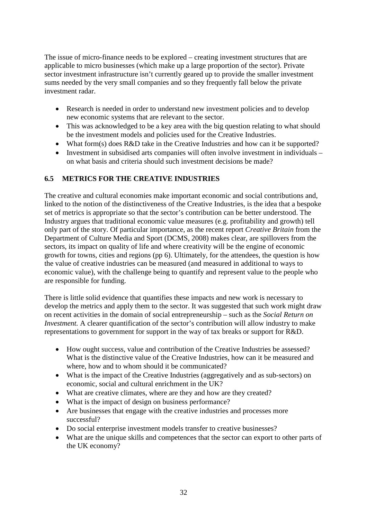The issue of micro-finance needs to be explored – creating investment structures that are applicable to micro businesses (which make up a large proportion of the sector). Private sector investment infrastructure isn't currently geared up to provide the smaller investment sums needed by the very small companies and so they frequently fall below the private investment radar.

- Research is needed in order to understand new investment policies and to develop new economic systems that are relevant to the sector.
- This was acknowledged to be a key area with the big question relating to what should be the investment models and policies used for the Creative Industries.
- What form(s) does R&D take in the Creative Industries and how can it be supported?
- <span id="page-31-0"></span>• Investment in subsidised arts companies will often involve investment in individuals – on what basis and criteria should such investment decisions be made?

#### **6.5 METRICS FOR THE CREATIVE INDUSTRIES**

The creative and cultural economies make important economic and social contributions and, linked to the notion of the distinctiveness of the Creative Industries, is the idea that a bespoke set of metrics is appropriate so that the sector's contribution can be better understood. The Industry argues that traditional economic value measures (e.g. profitability and growth) tell only part of the story. Of particular importance, as the recent report *Creative Britain* from the Department of Culture Media and Sport (DCMS, 2008) makes clear, are spillovers from the sectors, its impact on quality of life and where creativity will be the engine of economic growth for towns, cities and regions (pp 6). Ultimately, for the attendees, the question is how the value of creative industries can be measured (and measured in additional to ways to economic value), with the challenge being to quantify and represent value to the people who are responsible for funding.

There is little solid evidence that quantifies these impacts and new work is necessary to develop the metrics and apply them to the sector. It was suggested that such work might draw on recent activities in the domain of social entrepreneurship – such as the *Social Return on Investment.* A clearer quantification of the sector's contribution will allow industry to make representations to government for support in the way of tax breaks or support for R&D.

- How ought success, value and contribution of the Creative Industries be assessed? What is the distinctive value of the Creative Industries, how can it be measured and where, how and to whom should it be communicated?
- What is the impact of the Creative Industries (aggregatively and as sub-sectors) on economic, social and cultural enrichment in the UK?
- What are creative climates, where are they and how are they created?
- What is the impact of design on business performance?
- Are businesses that engage with the creative industries and processes more successful?
- Do social enterprise investment models transfer to creative businesses?
- What are the unique skills and competences that the sector can export to other parts of the UK economy?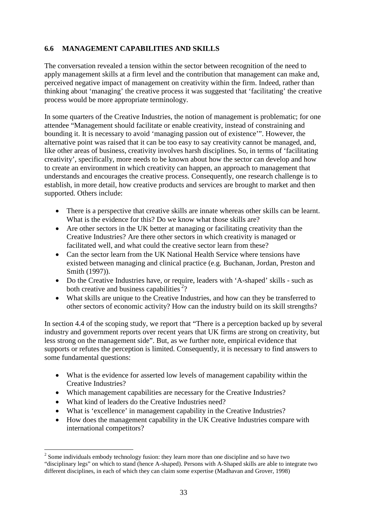#### <span id="page-32-0"></span>**6.6 MANAGEMENT CAPABILITIES AND SKILLS**

The conversation revealed a tension within the sector between recognition of the need to apply management skills at a firm level and the contribution that management can make and, perceived negative impact of management on creativity within the firm. Indeed, rather than thinking about 'managing' the creative process it was suggested that 'facilitating' the creative process would be more appropriate terminology.

In some quarters of the Creative Industries, the notion of management is problematic; for one attendee "Management should facilitate or enable creativity, instead of constraining and bounding it. It is necessary to avoid 'managing passion out of existence'". However, the alternative point was raised that it can be too easy to say creativity cannot be managed, and, like other areas of business, creativity involves harsh disciplines. So, in terms of 'facilitating creativity', specifically, more needs to be known about how the sector can develop and how to create an environment in which creativity can happen, an approach to management that understands and encourages the creative process. Consequently, one research challenge is to establish, in more detail, how creative products and services are brought to market and then supported. Others include:

- There is a perspective that creative skills are innate whereas other skills can be learnt. What is the evidence for this? Do we know what those skills are?
- Are other sectors in the UK better at managing or facilitating creativity than the Creative Industries? Are there other sectors in which creativity is managed or facilitated well, and what could the creative sector learn from these?
- Can the sector learn from the UK National Health Service where tensions have existed between managing and clinical practice (e.g. Buchanan, Jordan, Preston and Smith (1997)).
- Do the Creative Industries have, or require, leaders with 'A-shaped' skills such as both creative and business capabilities<sup>[2](#page-32-1)</sup>?
- What skills are unique to the Creative Industries, and how can they be transferred to other sectors of economic activity? How can the industry build on its skill strengths?

In section 4.4 of the scoping study, we report that "There is a perception backed up by several industry and government reports over recent years that UK firms are strong on creativity, but less strong on the management side". But, as we further note, empirical evidence that supports or refutes the perception is limited. Consequently, it is necessary to find answers to some fundamental questions:

- What is the evidence for asserted low levels of management capability within the Creative Industries?
- Which management capabilities are necessary for the Creative Industries?
- What kind of leaders do the Creative Industries need?
- What is 'excellence' in management capability in the Creative Industries?
- How does the management capability in the UK Creative Industries compare with international competitors?

<span id="page-32-1"></span> $2^{2}$  Some individuals embody technology fusion: they learn more than one discipline and so have two "disciplinary legs" on which to stand (hence A-shaped). Persons with A-Shaped skills are able to integrate two different disciplines, in each of which they can claim some expertise (Madhavan and Grover, 1998)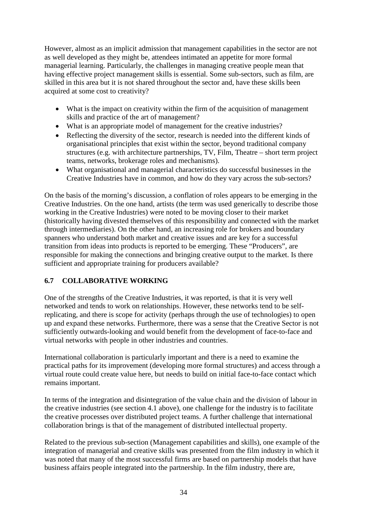However, almost as an implicit admission that management capabilities in the sector are not as well developed as they might be, attendees intimated an appetite for more formal managerial learning. Particularly, the challenges in managing creative people mean that having effective project management skills is essential. Some sub-sectors, such as film, are skilled in this area but it is not shared throughout the sector and, have these skills been acquired at some cost to creativity?

- What is the impact on creativity within the firm of the acquisition of management skills and practice of the art of management?
- What is an appropriate model of management for the creative industries?
- Reflecting the diversity of the sector, research is needed into the different kinds of organisational principles that exist within the sector, beyond traditional company structures (e.g. with architecture partnerships, TV, Film, Theatre – short term project teams, networks, brokerage roles and mechanisms).
- What organisational and managerial characteristics do successful businesses in the Creative Industries have in common, and how do they vary across the sub-sectors?

On the basis of the morning's discussion, a conflation of roles appears to be emerging in the Creative Industries. On the one hand, artists (the term was used generically to describe those working in the Creative Industries) were noted to be moving closer to their market (historically having divested themselves of this responsibility and connected with the market through intermediaries). On the other hand, an increasing role for brokers and boundary spanners who understand both market and creative issues and are key for a successful transition from ideas into products is reported to be emerging. These "Producers", are responsible for making the connections and bringing creative output to the market. Is there sufficient and appropriate training for producers available?

#### <span id="page-33-0"></span>**6.7 COLLABORATIVE WORKING**

One of the strengths of the Creative Industries, it was reported, is that it is very well networked and tends to work on relationships. However, these networks tend to be selfreplicating, and there is scope for activity (perhaps through the use of technologies) to open up and expand these networks. Furthermore, there was a sense that the Creative Sector is not sufficiently outwards-looking and would benefit from the development of face-to-face and virtual networks with people in other industries and countries.

International collaboration is particularly important and there is a need to examine the practical paths for its improvement (developing more formal structures) and access through a virtual route could create value here, but needs to build on initial face-to-face contact which remains important.

In terms of the integration and disintegration of the value chain and the division of labour in the creative industries (see section 4.1 above), one challenge for the industry is to facilitate the creative processes over distributed project teams. A further challenge that international collaboration brings is that of the management of distributed intellectual property.

Related to the previous sub-section (Management capabilities and skills), one example of the integration of managerial and creative skills was presented from the film industry in which it was noted that many of the most successful firms are based on partnership models that have business affairs people integrated into the partnership. In the film industry, there are,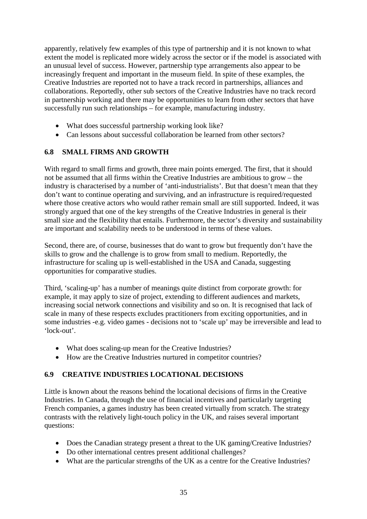apparently, relatively few examples of this type of partnership and it is not known to what extent the model is replicated more widely across the sector or if the model is associated with an unusual level of success. However, partnership type arrangements also appear to be increasingly frequent and important in the museum field. In spite of these examples, the Creative Industries are reported not to have a track record in partnerships, alliances and collaborations. Reportedly, other sub sectors of the Creative Industries have no track record in partnership working and there may be opportunities to learn from other sectors that have successfully run such relationships – for example, manufacturing industry.

- What does successful partnership working look like?
- <span id="page-34-0"></span>• Can lessons about successful collaboration be learned from other sectors?

#### **6.8 SMALL FIRMS AND GROWTH**

With regard to small firms and growth, three main points emerged. The first, that it should not be assumed that all firms within the Creative Industries are ambitious to grow – the industry is characterised by a number of 'anti-industrialists'. But that doesn't mean that they don't want to continue operating and surviving, and an infrastructure is required/requested where those creative actors who would rather remain small are still supported. Indeed, it was strongly argued that one of the key strengths of the Creative Industries in general is their small size and the flexibility that entails. Furthermore, the sector's diversity and sustainability are important and scalability needs to be understood in terms of these values.

Second, there are, of course, businesses that do want to grow but frequently don't have the skills to grow and the challenge is to grow from small to medium. Reportedly, the infrastructure for scaling up is well-established in the USA and Canada, suggesting opportunities for comparative studies.

Third, 'scaling-up' has a number of meanings quite distinct from corporate growth: for example, it may apply to size of project, extending to different audiences and markets, increasing social network connections and visibility and so on. It is recognised that lack of scale in many of these respects excludes practitioners from exciting opportunities, and in some industries -e.g. video games - decisions not to 'scale up' may be irreversible and lead to 'lock-out'.

- What does scaling-up mean for the Creative Industries?
- <span id="page-34-1"></span>How are the Creative Industries nurtured in competitor countries?

#### **6.9 CREATIVE INDUSTRIES LOCATIONAL DECISIONS**

Little is known about the reasons behind the locational decisions of firms in the Creative Industries. In Canada, through the use of financial incentives and particularly targeting French companies, a games industry has been created virtually from scratch. The strategy contrasts with the relatively light-touch policy in the UK, and raises several important questions:

- Does the Canadian strategy present a threat to the UK gaming/Creative Industries?
- Do other international centres present additional challenges?
- What are the particular strengths of the UK as a centre for the Creative Industries?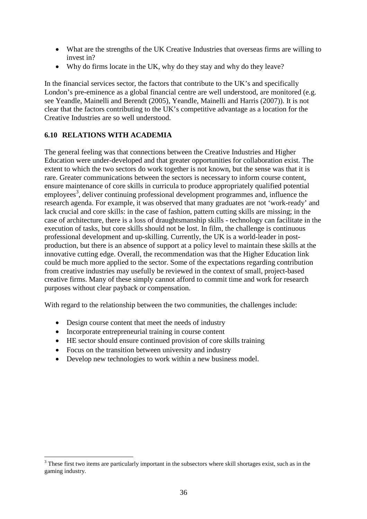- What are the strengths of the UK Creative Industries that overseas firms are willing to invest in?
- Why do firms locate in the UK, why do they stay and why do they leave?

In the financial services sector, the factors that contribute to the UK's and specifically London's pre-eminence as a global financial centre are well understood, are monitored (e.g. see Yeandle, Mainelli and Berendt (2005), Yeandle, Mainelli and Harris (2007)). It is not clear that the factors contributing to the UK's competitive advantage as a location for the Creative Industries are so well understood.

#### <span id="page-35-0"></span>**6.10 RELATIONS WITH ACADEMIA**

The general feeling was that connections between the Creative Industries and Higher Education were under-developed and that greater opportunities for collaboration exist. The extent to which the two sectors do work together is not known, but the sense was that it is rare. Greater communications between the sectors is necessary to inform course content, ensure maintenance of core skills in curricula to produce appropriately qualified potential  $employes<sup>3</sup>$  $employes<sup>3</sup>$  $employes<sup>3</sup>$ , deliver continuing professional development programmes and, influence the research agenda. For example, it was observed that many graduates are not 'work-ready' and lack crucial and core skills: in the case of fashion, pattern cutting skills are missing; in the case of architecture, there is a loss of draughtsmanship skills - technology can facilitate in the execution of tasks, but core skills should not be lost. In film, the challenge is continuous professional development and up-skilling. Currently, the UK is a world-leader in postproduction, but there is an absence of support at a policy level to maintain these skills at the innovative cutting edge. Overall, the recommendation was that the Higher Education link could be much more applied to the sector. Some of the expectations regarding contribution from creative industries may usefully be reviewed in the context of small, project-based creative firms. Many of these simply cannot afford to commit time and work for research purposes without clear payback or compensation.

With regard to the relationship between the two communities, the challenges include:

- Design course content that meet the needs of industry
- Incorporate entrepreneurial training in course content
- HE sector should ensure continued provision of core skills training
- Focus on the transition between university and industry
- Develop new technologies to work within a new business model.

<span id="page-35-1"></span><sup>&</sup>lt;sup>3</sup> These first two items are particularly important in the subsectors where skill shortages exist, such as in the gaming industry.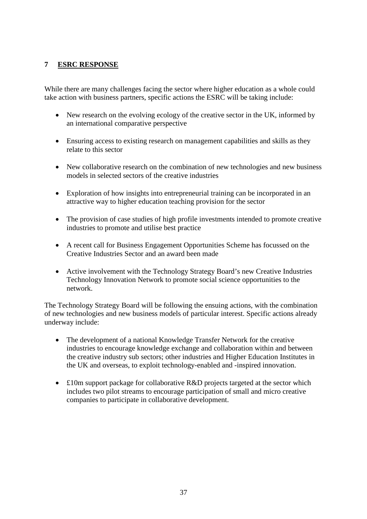#### <span id="page-36-0"></span>**7 ESRC RESPONSE**

While there are many challenges facing the sector where higher education as a whole could take action with business partners, specific actions the ESRC will be taking include:

- New research on the evolving ecology of the creative sector in the UK, informed by an international comparative perspective
- Ensuring access to existing research on management capabilities and skills as they relate to this sector
- New collaborative research on the combination of new technologies and new business models in selected sectors of the creative industries
- Exploration of how insights into entrepreneurial training can be incorporated in an attractive way to higher education teaching provision for the sector
- The provision of case studies of high profile investments intended to promote creative industries to promote and utilise best practice
- A recent call for Business Engagement Opportunities Scheme has focussed on the Creative Industries Sector and an award been made
- Active involvement with the Technology Strategy Board's new Creative Industries Technology Innovation Network to promote social science opportunities to the network.

The Technology Strategy Board will be following the ensuing actions, with the combination of new technologies and new business models of particular interest. Specific actions already underway include:

- The development of a national Knowledge Transfer Network for the creative industries to encourage knowledge exchange and collaboration within and between the creative industry sub sectors; other industries and Higher Education Institutes in the UK and overseas, to exploit technology-enabled and -inspired innovation.
- £10m support package for collaborative R&D projects targeted at the sector which includes two pilot streams to encourage participation of small and micro creative companies to participate in collaborative development.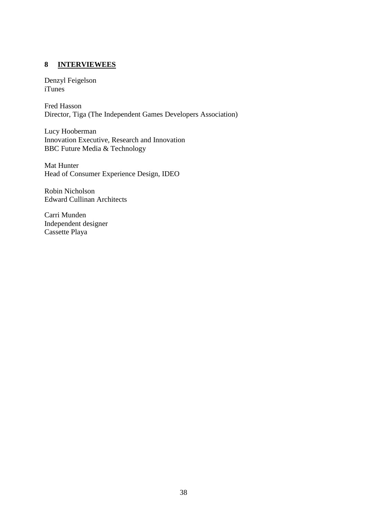#### <span id="page-37-0"></span>**8 INTERVIEWEES**

Denzyl Feigelson iTunes

Fred Hasson Director, Tiga (The Independent Games Developers Association)

Lucy Hooberman Innovation Executive, Research and Innovation BBC Future Media & Technology

Mat Hunter Head of Consumer Experience Design, IDEO

Robin Nicholson Edward Cullinan Architects

Carri Munden Independent designer Cassette Playa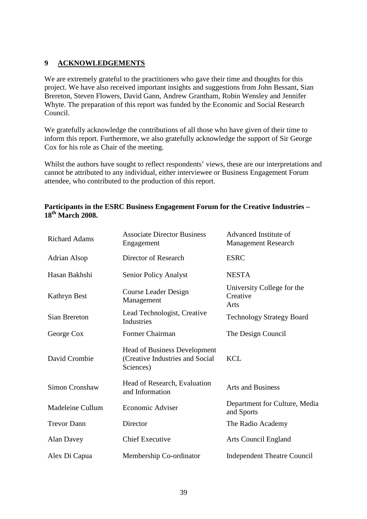#### <span id="page-38-0"></span>**9 ACKNOWLEDGEMENTS**

We are extremely grateful to the practitioners who gave their time and thoughts for this project. We have also received important insights and suggestions from John Bessant, Sian Brereton, Steven Flowers, David Gann, Andrew Grantham, Robin Wensley and Jennifer Whyte. The preparation of this report was funded by the Economic and Social Research Council.

We gratefully acknowledge the contributions of all those who have given of their time to inform this report. Furthermore, we also gratefully acknowledge the support of Sir George Cox for his role as Chair of the meeting.

Whilst the authors have sought to reflect respondents' views, these are our interpretations and cannot be attributed to any individual, either interviewee or Business Engagement Forum attendee, who contributed to the production of this report.

#### **Participants in the ESRC Business Engagement Forum for the Creative Industries – 18th March 2008.**

| <b>Richard Adams</b> | <b>Associate Director Business</b><br>Engagement                                    | Advanced Institute of<br><b>Management Research</b> |
|----------------------|-------------------------------------------------------------------------------------|-----------------------------------------------------|
| <b>Adrian Alsop</b>  | Director of Research                                                                | <b>ESRC</b>                                         |
| Hasan Bakhshi        | Senior Policy Analyst                                                               | <b>NESTA</b>                                        |
| Kathryn Best         | Course Leader Design<br>Management                                                  | University College for the<br>Creative<br>Arts      |
| Sian Brereton        | Lead Technologist, Creative<br>Industries                                           | <b>Technology Strategy Board</b>                    |
| George Cox           | Former Chairman                                                                     | The Design Council                                  |
| David Crombie        | <b>Head of Business Development</b><br>(Creative Industries and Social<br>Sciences) | <b>KCL</b>                                          |
| Simon Cronshaw       | Head of Research, Evaluation<br>and Information                                     | <b>Arts and Business</b>                            |
| Madeleine Cullum     | Economic Adviser                                                                    | Department for Culture, Media<br>and Sports         |
| <b>Trevor Dann</b>   | Director                                                                            | The Radio Academy                                   |
| Alan Davey           | <b>Chief Executive</b>                                                              | <b>Arts Council England</b>                         |
| Alex Di Capua        | Membership Co-ordinator                                                             | <b>Independent Theatre Council</b>                  |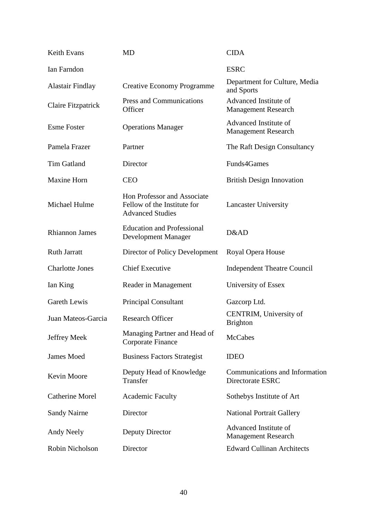| Keith Evans             | <b>MD</b>                                                                             | <b>CIDA</b>                                         |
|-------------------------|---------------------------------------------------------------------------------------|-----------------------------------------------------|
| Ian Farndon             |                                                                                       | <b>ESRC</b>                                         |
| <b>Alastair Findlay</b> | <b>Creative Economy Programme</b>                                                     | Department for Culture, Media<br>and Sports         |
| Claire Fitzpatrick      | <b>Press and Communications</b><br>Officer                                            | Advanced Institute of<br><b>Management Research</b> |
| <b>Esme Foster</b>      | <b>Operations Manager</b>                                                             | Advanced Institute of<br><b>Management Research</b> |
| Pamela Frazer           | Partner                                                                               | The Raft Design Consultancy                         |
| <b>Tim Gatland</b>      | Director                                                                              | Funds4Games                                         |
| <b>Maxine Horn</b>      | <b>CEO</b>                                                                            | <b>British Design Innovation</b>                    |
| Michael Hulme           | Hon Professor and Associate<br>Fellow of the Institute for<br><b>Advanced Studies</b> | <b>Lancaster University</b>                         |
| <b>Rhiannon James</b>   | <b>Education and Professional</b><br>Development Manager                              | D&AD                                                |
| <b>Ruth Jarratt</b>     | Director of Policy Development                                                        | Royal Opera House                                   |
| <b>Charlotte Jones</b>  | <b>Chief Executive</b>                                                                | <b>Independent Theatre Council</b>                  |
| Ian King                | Reader in Management                                                                  | University of Essex                                 |
| Gareth Lewis            | <b>Principal Consultant</b>                                                           | Gazcorp Ltd.                                        |
| Juan Mateos-Garcia      | <b>Research Officer</b>                                                               | CENTRIM, University of<br><b>Brighton</b>           |
| Jeffrey Meek            | Managing Partner and Head of<br>Corporate Finance                                     | <b>McCabes</b>                                      |
| James Moed              | <b>Business Factors Strategist</b>                                                    | <b>IDEO</b>                                         |
| Kevin Moore             | Deputy Head of Knowledge<br>Transfer                                                  | Communications and Information<br>Directorate ESRC  |
| Catherine Morel         | <b>Academic Faculty</b>                                                               | Sothebys Institute of Art                           |
| <b>Sandy Nairne</b>     | Director                                                                              | <b>National Portrait Gallery</b>                    |
| Andy Neely              | Deputy Director                                                                       | Advanced Institute of<br><b>Management Research</b> |
| Robin Nicholson         | Director                                                                              | <b>Edward Cullinan Architects</b>                   |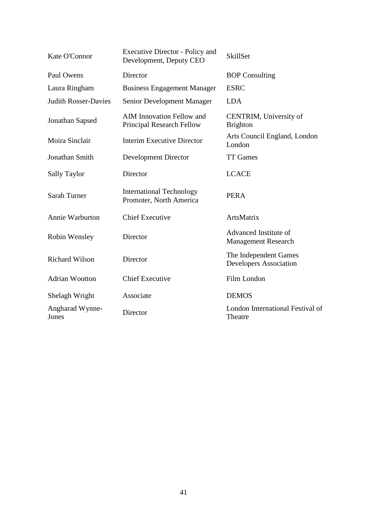| Kate O'Connor               | <b>Executive Director - Policy and</b><br>Development, Deputy CEO    | <b>SkillSet</b>                                        |
|-----------------------------|----------------------------------------------------------------------|--------------------------------------------------------|
| Paul Owens                  | Director                                                             | <b>BOP</b> Consulting                                  |
| Laura Ringham               | <b>Business Engagement Manager</b>                                   | <b>ESRC</b>                                            |
| <b>Judith Rosser-Davies</b> | Senior Development Manager                                           | <b>LDA</b>                                             |
| Jonathan Sapsed             | <b>AIM Innovation Fellow and</b><br><b>Principal Research Fellow</b> | CENTRIM, University of<br><b>Brighton</b>              |
| Moira Sinclair              | <b>Interim Executive Director</b>                                    | Arts Council England, London<br>London                 |
| Jonathan Smith              | Development Director                                                 | <b>TT Games</b>                                        |
| <b>Sally Taylor</b>         | Director                                                             | <b>LCACE</b>                                           |
| Sarah Turner                | <b>International Technology</b><br>Promoter, North America           | <b>PERA</b>                                            |
| Annie Warburton             | <b>Chief Executive</b>                                               | ArtsMatrix                                             |
| Robin Wensley               | Director                                                             | Advanced Institute of<br><b>Management Research</b>    |
| <b>Richard Wilson</b>       | Director                                                             | The Independent Games<br><b>Developers Association</b> |
| <b>Adrian Wootton</b>       | <b>Chief Executive</b>                                               | Film London                                            |
| Shelagh Wright              | Associate                                                            | <b>DEMOS</b>                                           |
| Angharad Wynne-<br>Jones    | Director                                                             | London International Festival of<br>Theatre            |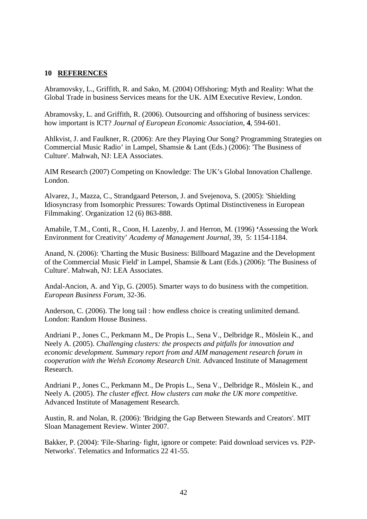#### <span id="page-41-0"></span>**10 REFERENCES**

Abramovsky, L., Griffith, R. and Sako, M. (2004) Offshoring: Myth and Reality: What the Global Trade in business Services means for the UK. AIM Executive Review, London.

Abramovsky, L. and Griffith, R. (2006). Outsourcing and offshoring of business services: how important is ICT? *Journal of European Economic Association*, **4**, 594-601.

Ahlkvist, J. and Faulkner, R. (2006): Are they Playing Our Song? Programming Strategies on Commercial Music Radio' in Lampel, Shamsie & Lant (Eds.) (2006): 'The Business of Culture'. Mahwah, NJ: LEA Associates.

AIM Research (2007) Competing on Knowledge: The UK's Global Innovation Challenge. London.

Alvarez, J., Mazza, C., Strandgaard Peterson, J. and Svejenova, S. (2005): 'Shielding Idiosyncrasy from Isomorphic Pressures: Towards Optimal Distinctiveness in European Filmmaking'. Organization 12 (6) 863-888.

Amabile, T.M., Conti, R., Coon, H. Lazenby, J. and Herron, M. (1996) **'**Assessing the Work Environment for Creativity' *Academy of Management Journal*, 39, 5: 1154-1184.

Anand, N. (2006): 'Charting the Music Business: Billboard Magazine and the Development of the Commercial Music Field' in Lampel, Shamsie & Lant (Eds.) (2006): 'The Business of Culture'. Mahwah, NJ: LEA Associates.

Andal-Ancion, A. and Yip, G. (2005). Smarter ways to do business with the competition. *European Business Forum*, 32-36.

Anderson, C. (2006). The long tail : how endless choice is creating unlimited demand. London: Random House Business.

Andriani P., Jones C., Perkmann M., De Propis L., Sena V., Delbridge R., Möslein K., and Neely A. (2005). *Challenging clusters: the prospects and pitfalls for innovation and economic development. Summary report from and AIM management research forum in cooperation with the Welsh Economy Research Unit.* Advanced Institute of Management Research.

Andriani P., Jones C., Perkmann M., De Propis L., Sena V., Delbridge R., Möslein K., and Neely A. (2005). *The cluster effect. How clusters can make the UK more competitive.* Advanced Institute of Management Research.

Austin, R. and Nolan, R. (2006): 'Bridging the Gap Between Stewards and Creators'. MIT Sloan Management Review. Winter 2007.

Bakker, P. (2004): 'File-Sharing- fight, ignore or compete: Paid download services vs. P2P-Networks'. Telematics and Informatics 22 41-55.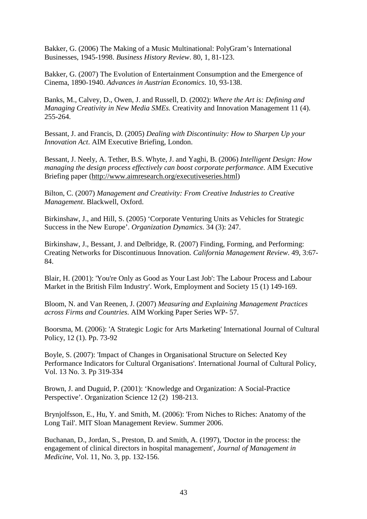Bakker, G. (2006) The Making of a Music Multinational: PolyGram's International Businesses, 1945-1998. *Business History Review*. 80, 1, 81-123.

Bakker, G. (2007) The Evolution of Entertainment Consumption and the Emergence of Cinema, 1890-1940. *Advances in Austrian Economics*. 10, 93-138.

Banks, M., Calvey, D., Owen, J. and Russell, D. (2002): *Where the Art is: Defining and Managing Creativity in New Media SMEs.* Creativity and Innovation Management 11 (4). 255-264.

Bessant, J. and Francis, D. (2005) *Dealing with Discontinuity: How to Sharpen Up your Innovation Act*. AIM Executive Briefing, London.

Bessant, J. Neely, A. Tether, B.S. Whyte, J. and Yaghi, B. (2006) *Intelligent Design: How managing the design process effectively can boost corporate performance*. AIM Executive Briefing paper([http://www.aimresearch.org/executiveseries.html\)](http://www.aimresearch.org/executiveseries.html)

Bilton, C. (2007) *Management and Creativity: From Creative Industries to Creative Management*. Blackwell, Oxford.

Birkinshaw, J., and Hill, S. (2005) 'Corporate Venturing Units as Vehicles for Strategic Success in the New Europe'. *Organization Dynamics*. 34 (3): 247.

Birkinshaw, J., Bessant, J. and Delbridge, R. (2007) Finding, Forming, and Performing: Creating Networks for Discontinuous Innovation. *California Management Review*. 49, 3:67- 84.

Blair, H. (2001): 'You're Only as Good as Your Last Job': The Labour Process and Labour Market in the British Film Industry'. Work, Employment and Society 15 (1) 149-169.

Bloom, N. and Van Reenen, J. (2007) *Measuring and Explaining Management Practices across Firms and Countries*. AIM Working Paper Series WP- 57.

Boorsma, M. (2006): 'A Strategic Logic for Arts Marketing' International Journal of Cultural Policy, 12 (1). Pp. 73-92

Boyle, S. (2007): 'Impact of Changes in Organisational Structure on Selected Key Performance Indicators for Cultural Organisations'. International Journal of Cultural Policy, Vol. 13 No. 3. Pp 319-334

Brown, J. and Duguid, P. (2001): 'Knowledge and Organization: A Social-Practice Perspective'. Organization Science 12 (2) 198-213.

Brynjolfsson, E., Hu, Y. and Smith, M. (2006): 'From Niches to Riches: Anatomy of the Long Tail'. MIT Sloan Management Review. Summer 2006.

Buchanan, D., Jordan, S., Preston, D. and Smith, A. (1997), 'Doctor in the process: the engagement of clinical directors in hospital management', *Journal of Management in Medicine*, Vol. 11, No. 3, pp. 132-156.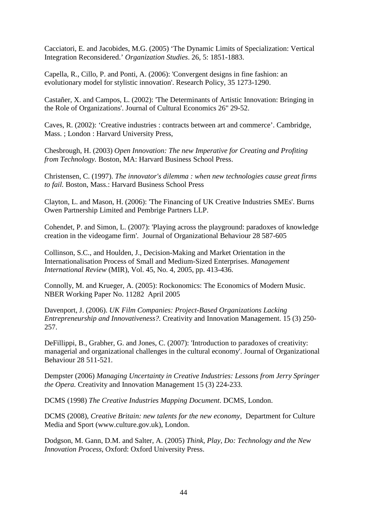Cacciatori, E. and Jacobides, M.G. (2005) 'The Dynamic Limits of Specialization: Vertical Integration Reconsidered.' *Organization Studies*. 26, 5: 1851-1883.

Capella, R., Cillo, P. and Ponti, A. (2006): 'Convergent designs in fine fashion: an evolutionary model for stylistic innovation'. Research Policy, 35 1273-1290.

Castañer, X. and Campos, L. (2002): 'The Determinants of Artistic Innovation: Bringing in the Role of Organizations'. Journal of Cultural Economics 26" 29-52.

Caves, R. (2002): 'Creative industries : contracts between art and commerce'. Cambridge, Mass. ; London : Harvard University Press,

Chesbrough, H. (2003) *Open Innovation: The new Imperative for Creating and Profiting from Technology.* Boston, MA: Harvard Business School Press.

Christensen, C. (1997). *The innovator's dilemma : when new technologies cause great firms to fail.* Boston, Mass.: Harvard Business School Press

Clayton, L. and Mason, H. (2006): 'The Financing of UK Creative Industries SMEs'. Burns Owen Partnership Limited and Pembrige Partners LLP.

Cohendet, P. and Simon, L. (2007): 'Playing across the playground: paradoxes of knowledge creation in the videogame firm'. Journal of Organizational Behaviour 28 587-605

Collinson, S.C., and Houlden, J., Decision-Making and Market Orientation in the Internationalisation Process of Small and Medium-Sized Enterprises. *Management International Review* (MIR), Vol. 45, No. 4, 2005, pp. 413-436.

Connolly, M. and Krueger, A. (2005): Rockonomics: The Economics of Modern Music. NBER Working Paper No. 11282 April 2005

Davenport, J. (2006). *UK Film Companies: Project-Based Organizations Lacking Entrepreneurship and Innovativeness?.* Creativity and Innovation Management. 15 (3) 250- 257.

DeFillippi, B., Grabher, G. and Jones, C. (2007): 'Introduction to paradoxes of creativity: managerial and organizational challenges in the cultural economy'. Journal of Organizational Behaviour 28 511-521.

Dempster (2006) *Managing Uncertainty in Creative Industries: Lessons from Jerry Springer the Opera.* Creativity and Innovation Management 15 (3) 224-233.

DCMS (1998) *The Creative Industries Mapping Document*. DCMS, London.

DCMS (2008), *Creative Britain: new talents for the new economy*, Department for Culture Media and Sport (www.culture.gov.uk), London.

Dodgson, M. Gann, D.M. and Salter, A. (2005) *Think, Play, Do: Technology and the New Innovation Process*, Oxford: Oxford University Press.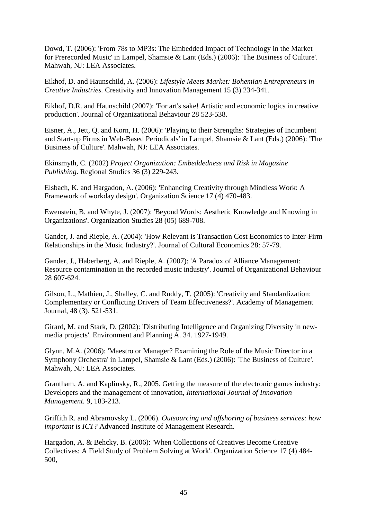Dowd, T. (2006): 'From 78s to MP3s: The Embedded Impact of Technology in the Market for Prerecorded Music' in Lampel, Shamsie & Lant (Eds.) (2006): 'The Business of Culture'. Mahwah, NJ: LEA Associates.

Eikhof, D. and Haunschild, A. (2006): *Lifestyle Meets Market: Bohemian Entrepreneurs in Creative Industries.* Creativity and Innovation Management 15 (3) 234-341.

Eikhof, D.R. and Haunschild (2007): 'For art's sake! Artistic and economic logics in creative production'. Journal of Organizational Behaviour 28 523-538.

Eisner, A., Jett, Q. and Korn, H. (2006): 'Playing to their Strengths: Strategies of Incumbent and Start-up Firms in Web-Based Periodicals' in Lampel, Shamsie & Lant (Eds.) (2006): 'The Business of Culture'. Mahwah, NJ: LEA Associates.

Ekinsmyth, C. (2002) *Project Organization: Embeddedness and Risk in Magazine Publishing*. Regional Studies 36 (3) 229-243.

Elsbach, K. and Hargadon, A. (2006): 'Enhancing Creativity through Mindless Work: A Framework of workday design'. Organization Science 17 (4) 470-483.

Ewenstein, B. and Whyte, J. (2007): 'Beyond Words: Aesthetic Knowledge and Knowing in Organizations'. Organization Studies 28 (05) 689-708.

Gander, J. and Rieple, A. (2004): 'How Relevant is Transaction Cost Economics to Inter-Firm Relationships in the Music Industry?'. Journal of Cultural Economics 28: 57-79.

Gander, J., Haberberg, A. and Rieple, A. (2007): 'A Paradox of Alliance Management: Resource contamination in the recorded music industry'. Journal of Organizational Behaviour 28 607-624.

Gilson, L., Mathieu, J., Shalley, C. and Ruddy, T. (2005): 'Creativity and Standardization: Complementary or Conflicting Drivers of Team Effectiveness?'. Academy of Management Journal, 48 (3). 521-531.

Girard, M. and Stark, D. (2002): 'Distributing Intelligence and Organizing Diversity in newmedia projects'. Environment and Planning A. 34. 1927-1949.

Glynn, M.A. (2006): 'Maestro or Manager? Examining the Role of the Music Director in a Symphony Orchestra' in Lampel, Shamsie & Lant (Eds.) (2006): 'The Business of Culture'. Mahwah, NJ: LEA Associates.

Grantham, A. and Kaplinsky, R., 2005. Getting the measure of the electronic games industry: Developers and the management of innovation, *International Journal of Innovation Management.* 9, 183-213.

Griffith R. and Abramovsky L. (2006). *Outsourcing and offshoring of business services: how important is ICT?* Advanced Institute of Management Research.

Hargadon, A. & Behcky, B. (2006): 'When Collections of Creatives Become Creative Collectives: A Field Study of Problem Solving at Work'. Organization Science 17 (4) 484- 500,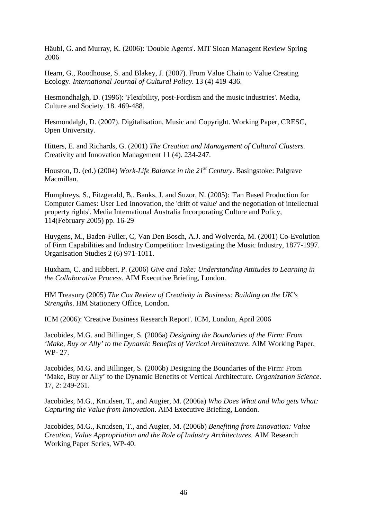Häubl, G. and Murray, K. (2006): 'Double Agents'. MIT Sloan Managent Review Spring 2006

Hearn, G., Roodhouse, S. and Blakey, J. (2007). From Value Chain to Value Creating Ecology. *International Journal of Cultural Policy.* 13 (4) 419-436.

Hesmondhalgh, D. (1996): 'Flexibility, post-Fordism and the music industries'. Media, Culture and Society. 18. 469-488.

Hesmondalgh, D. (2007). Digitalisation, Music and Copyright. Working Paper, CRESC, Open University.

Hitters, E. and Richards, G. (2001) *The Creation and Management of Cultural Clusters.* Creativity and Innovation Management 11 (4). 234-247.

Houston, D. (ed.) (2004) *Work-Life Balance in the 21st Century*. Basingstoke: Palgrave Macmillan.

Humphreys, S., Fitzgerald, B,. Banks, J. and Suzor, N. (2005): 'Fan Based Production for Computer Games: User Led Innovation, the 'drift of value' and the negotiation of intellectual property rights'. Media International Australia Incorporating Culture and Policy, 114(February 2005) pp. 16-29

Huygens, M., Baden-Fuller, C, Van Den Bosch, A.J. and Wolverda, M. (2001) Co-Evolution of Firm Capabilities and Industry Competition: Investigating the Music Industry, 1877-1997. Organisation Studies 2 (6) 971-1011.

Huxham, C. and Hibbert, P. (2006) *Give and Take: Understanding Attitudes to Learning in the Collaborative Process*. AIM Executive Briefing, London.

HM Treasury (2005) *The Cox Review of Creativity in Business: Building on the UK's Strength*s. HM Stationery Office, London.

ICM (2006): 'Creative Business Research Report'. ICM, London, April 2006

Jacobides, M.G. and Billinger, S. (2006a) *Designing the Boundaries of the Firm: From 'Make, Buy or Ally' to the Dynamic Benefits of Vertical Architecture*. AIM Working Paper, WP- 27.

Jacobides, M.G. and Billinger, S. (2006b) Designing the Boundaries of the Firm: From 'Make, Buy or Ally' to the Dynamic Benefits of Vertical Architecture. *Organization Science*. 17, 2: 249-261.

Jacobides, M.G., Knudsen, T., and Augier, M. (2006a) *Who Does What and Who gets What: Capturing the Value from Innovation*. AIM Executive Briefing, London.

Jacobides, M.G., Knudsen, T., and Augier, M. (2006b) *Benefiting from Innovation: Value Creation, Value Appropriation and the Role of Industry Architectures*. AIM Research Working Paper Series, WP-40.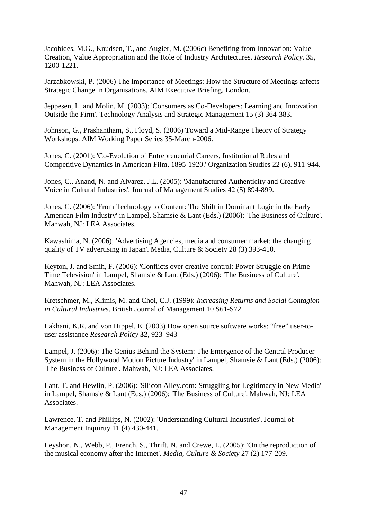Jacobides, M.G., Knudsen, T., and Augier, M. (2006c) Benefiting from Innovation: Value Creation, Value Appropriation and the Role of Industry Architectures. *Research Policy*. 35, 1200-1221.

Jarzabkowski, P. (2006) The Importance of Meetings: How the Structure of Meetings affects Strategic Change in Organisations. AIM Executive Briefing, London.

Jeppesen, L. and Molin, M. (2003): 'Consumers as Co-Developers: Learning and Innovation Outside the Firm'. Technology Analysis and Strategic Management 15 (3) 364-383.

Johnson, G., Prashantham, S., Floyd, S. (2006) Toward a Mid-Range Theory of Strategy Workshops. AIM Working Paper Series 35-March-2006.

Jones, C. (2001): 'Co-Evolution of Entrepreneurial Careers, Institutional Rules and Competitive Dynamics in American Film, 1895-1920.' Organization Studies 22 (6). 911-944.

Jones, C., Anand, N. and Alvarez, J.L. (2005): 'Manufactured Authenticity and Creative Voice in Cultural Industries'. Journal of Management Studies 42 (5) 894-899.

Jones, C. (2006): 'From Technology to Content: The Shift in Dominant Logic in the Early American Film Industry' in Lampel, Shamsie & Lant (Eds.) (2006): 'The Business of Culture'. Mahwah, NJ: LEA Associates.

Kawashima, N. (2006); 'Advertising Agencies, media and consumer market: the changing quality of TV advertising in Japan'. Media, Culture & Society 28 (3) 393-410.

Keyton, J. and Smih, F. (2006): 'Conflicts over creative control: Power Struggle on Prime Time Television' in Lampel, Shamsie & Lant (Eds.) (2006): 'The Business of Culture'. Mahwah, NJ: LEA Associates.

Kretschmer, M., Klimis, M. and Choi, C.J. (1999): *Increasing Returns and Social Contagion in Cultural Industries*. British Journal of Management 10 S61-S72.

Lakhani, K.R. and von Hippel, E. (2003) How open source software works: "free" user-touser assistance *Research Policy* **32**, 923–943

Lampel, J. (2006): The Genius Behind the System: The Emergence of the Central Producer System in the Hollywood Motion Picture Industry' in Lampel, Shamsie & Lant (Eds.) (2006): 'The Business of Culture'. Mahwah, NJ: LEA Associates.

Lant, T. and Hewlin, P. (2006): 'Silicon Alley.com: Struggling for Legitimacy in New Media' in Lampel, Shamsie & Lant (Eds.) (2006): 'The Business of Culture'. Mahwah, NJ: LEA **Associates** 

Lawrence, T. and Phillips, N. (2002): 'Understanding Cultural Industries'. Journal of Management Inquiruy 11 (4) 430-441.

Leyshon, N., Webb, P., French, S., Thrift, N. and Crewe, L. (2005): 'On the reproduction of the musical economy after the Internet'. *Media, Culture & Society* 27 (2) 177-209.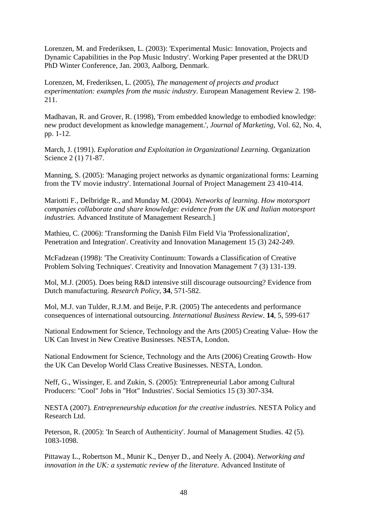Lorenzen, M. and Frederiksen, L. (2003): 'Experimental Music: Innovation, Projects and Dynamic Capabilities in the Pop Music Industry'. Working Paper presented at the DRUD PhD Winter Conference, Jan. 2003, Aalborg, Denmark.

Lorenzen, M, Frederiksen, L. (2005), *The management of projects and product experimentation: examples from the music industry*. European Management Review 2. 198- 211.

Madhavan, R. and Grover, R. (1998), 'From embedded knowledge to embodied knowledge: new product development as knowledge management.', *Journal of Marketing*, Vol. 62, No. 4, pp. 1-12.

March, J. (1991). *Exploration and Exploitation in Organizational Learning.* Organization Science 2 (1) 71-87.

Manning, S. (2005): 'Managing project networks as dynamic organizational forms: Learning from the TV movie industry'. International Journal of Project Management 23 410-414.

Mariotti F., Delbridge R., and Munday M. (2004). *Networks of learning. How motorsport companies collaborate and share knowledge: evidence from the UK and Italian motorsport industries.* Advanced Institute of Management Research.]

Mathieu, C. (2006): 'Transforming the Danish Film Field Via 'Professionalization', Penetration and Integration'. Creativity and Innovation Management 15 (3) 242-249.

McFadzean (1998): 'The Creativity Continuum: Towards a Classification of Creative Problem Solving Techniques'. Creativity and Innovation Management 7 (3) 131-139.

Mol, M.J. (2005). Does being R&D intensive still discourage outsourcing? Evidence from Dutch manufacturing. *Research Policy*, **34**, 571-582.

Mol, M.J. van Tulder, R.J.M. and Beije, P.R. (2005) The antecedents and performance consequences of international outsourcing. *International Business Review*. **14**, 5, 599-617

National Endowment for Science, Technology and the Arts (2005) Creating Value- How the UK Can Invest in New Creative Businesses. NESTA, London.

National Endowment for Science, Technology and the Arts (2006) Creating Growth- How the UK Can Develop World Class Creative Businesses. NESTA, London.

Neff, G., Wissinger, E. and Zukin, S. (2005): 'Entrepreneurial Labor among Cultural Producers: "Cool" Jobs in "Hot" Industries'. Social Semiotics 15 (3) 307-334.

NESTA (2007). *Entrepreneurship education for the creative industries.* NESTA Policy and Research Ltd.

Peterson, R. (2005): 'In Search of Authenticity'. Journal of Management Studies. 42 (5). 1083-1098.

Pittaway L., Robertson M., Munir K., Denyer D., and Neely A. (2004). *Networking and innovation in the UK: a systematic review of the literature.* Advanced Institute of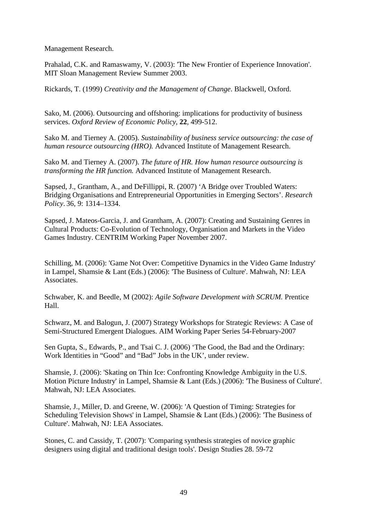Management Research.

Prahalad, C.K. and Ramaswamy, V. (2003): 'The New Frontier of Experience Innovation'. MIT Sloan Management Review Summer 2003.

Rickards, T. (1999) *Creativity and the Management of Change*. Blackwell, Oxford.

Sako, M. (2006). Outsourcing and offshoring: implications for productivity of business services. *Oxford Review of Economic Policy*, **22**, 499-512.

Sako M. and Tierney A. (2005). *Sustainability of business service outsourcing: the case of human resource outsourcing (HRO).* Advanced Institute of Management Research.

Sako M. and Tierney A. (2007). *The future of HR. How human resource outsourcing is transforming the HR function.* Advanced Institute of Management Research.

Sapsed, J., Grantham, A., and DeFillippi, R. (2007) 'A Bridge over Troubled Waters: Bridging Organisations and Entrepreneurial Opportunities in Emerging Sectors'. *Research Policy*. 36, 9: 1314–1334.

Sapsed, J. Mateos-Garcia, J. and Grantham, A. (2007): Creating and Sustaining Genres in Cultural Products: Co-Evolution of Technology, Organisation and Markets in the Video Games Industry. CENTRIM Working Paper November 2007.

Schilling, M. (2006): 'Game Not Over: Competitive Dynamics in the Video Game Industry' in Lampel, Shamsie & Lant (Eds.) (2006): 'The Business of Culture'. Mahwah, NJ: LEA Associates.

Schwaber, K. and Beedle, M (2002): *Agile Software Development with SCRUM.* Prentice Hall.

Schwarz, M. and Balogun, J. (2007) Strategy Workshops for Strategic Reviews: A Case of Semi-Structured Emergent Dialogues. AIM Working Paper Series 54-February-2007

Sen Gupta, S., Edwards, P., and Tsai C. J. (2006) 'The Good, the Bad and the Ordinary: Work Identities in "Good" and "Bad" Jobs in the UK', under review.

Shamsie, J. (2006): 'Skating on Thin Ice: Confronting Knowledge Ambiguity in the U.S. Motion Picture Industry' in Lampel, Shamsie & Lant (Eds.) (2006): 'The Business of Culture'. Mahwah, NJ: LEA Associates.

Shamsie, J., Miller, D. and Greene, W. (2006): 'A Question of Timing: Strategies for Scheduling Television Shows' in Lampel, Shamsie & Lant (Eds.) (2006): 'The Business of Culture'. Mahwah, NJ: LEA Associates.

Stones, C. and Cassidy, T. (2007): 'Comparing synthesis strategies of novice graphic designers using digital and traditional design tools'. Design Studies 28. 59-72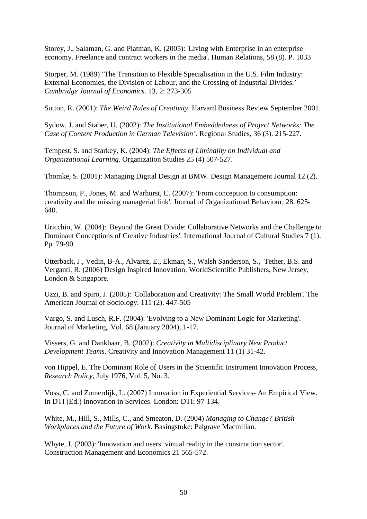Storey, J., Salaman, G. and Platman, K. (2005): 'Living with Enterprise in an enterprise economy. Freelance and contract workers in the media'. Human Relations, 58 (8). P. 1033

Storper, M. (1989) 'The Transition to Flexible Specialisation in the U.S. Film Industry: External Economies, the Division of Labour, and the Crossing of Industrial Divides.' *[Cambridge Journal of Economics](http://ideas.repec.org/s/oup/cambje.html)*. 13, 2: 273-305

Sutton, R. (2001): *The Weird Rules of Creativity.* Harvard Business Review September 2001.

Sydow, J. and Staber, U. (2002): *The Institutional Embeddedness of Project Networks: The Case of Content Production in German Television'.* Regional Studies, 36 (3). 215-227.

Tempest, S. and Starkey, K. (2004): *The Effects of Liminality on Individual and Organizational Learning*. Organization Studies 25 (4) 507-527.

Thomke, S. (2001): Managing Digital Design at BMW. Design Management Journal 12 (2).

Thompson, P., Jones, M. and Warhurst, C. (2007): 'From conception to consumption: creativity and the missing managerial link'. Journal of Organizational Behaviour. 28. 625- 640.

Uricchio, W. (2004): 'Beyond the Great Divide: Collaborative Networks and the Challenge to Dominant Conceptions of Creative Industries'. International Journal of Cultural Studies 7 (1). Pp. 79-90.

Utterback, J., Vedin, B-A., Alvarez, E., Ekman, S., Walsh Sanderson, S., Tether, B.S. and Verganti, R. (2006) Design Inspired Innovation, WorldScientific Publishers, New Jersey, London & Singapore.

Uzzi, B. and Spiro, J. (2005): 'Collaboration and Creativity: The Small World Problem'. The American Journal of Sociology. 111 (2). 447-505

Vargo, S. and Lusch, R.F. (2004): 'Evolving to a New Dominant Logic for Marketing'. Journal of Marketing. Vol. 68 (January 2004), 1-17.

Vissers, G. and Dankbaar, B. (2002): *Creativity in Multidisciplinary New Product Development Teams*. Creativity and Innovation Management 11 (1) 31-42.

von Hippel, E. The Dominant Role of Users in the Scientific Instrument Innovation Process, *Research Policy,* July 1976, Vol. 5, No. 3.

Voss, C. and Zomerdijk, L. (2007) Innovation in Experiential Services- An Empirical View. In DTI (Ed.) Innovation in Services. London: DTI: 97-134.

White, M., Hill, S., Mills, C., and Smeaton, D. (2004) *Managing to Change? British Workplaces and the Future of Work*. Basingstoke: Palgrave Macmillan.

Whyte, J. (2003): 'Innovation and users: virtual reality in the construction sector'. Construction Management and Economics 21 565-572.